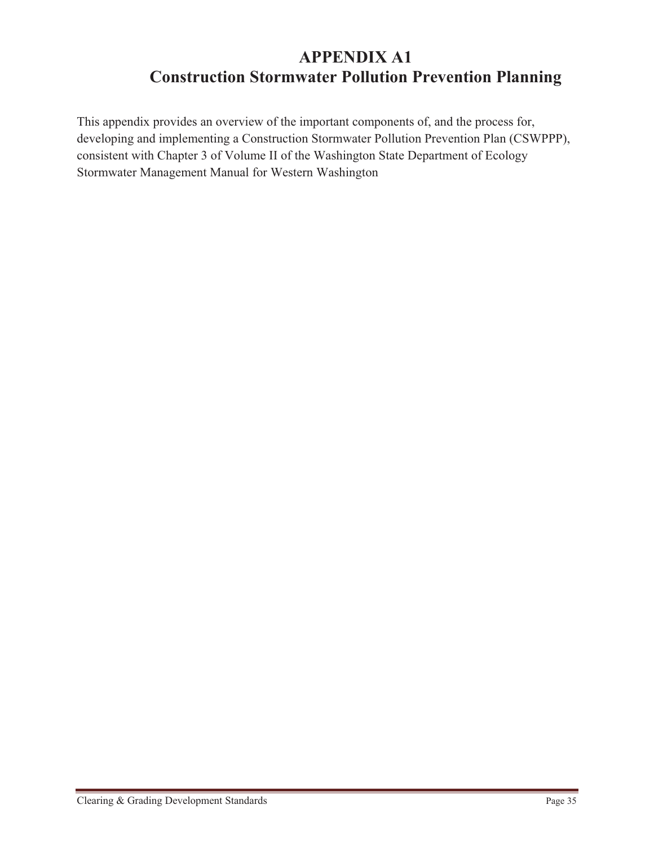# **APPENDIX A1 Construction Stormwater Pollution Prevention Planning**

This appendix provides an overview of the important components of, and the process for, developing and implementing a Construction Stormwater Pollution Prevention Plan (CSWPPP), consistent with Chapter 3 of Volume II of the Washington State Department of Ecology Stormwater Management Manual for Western Washington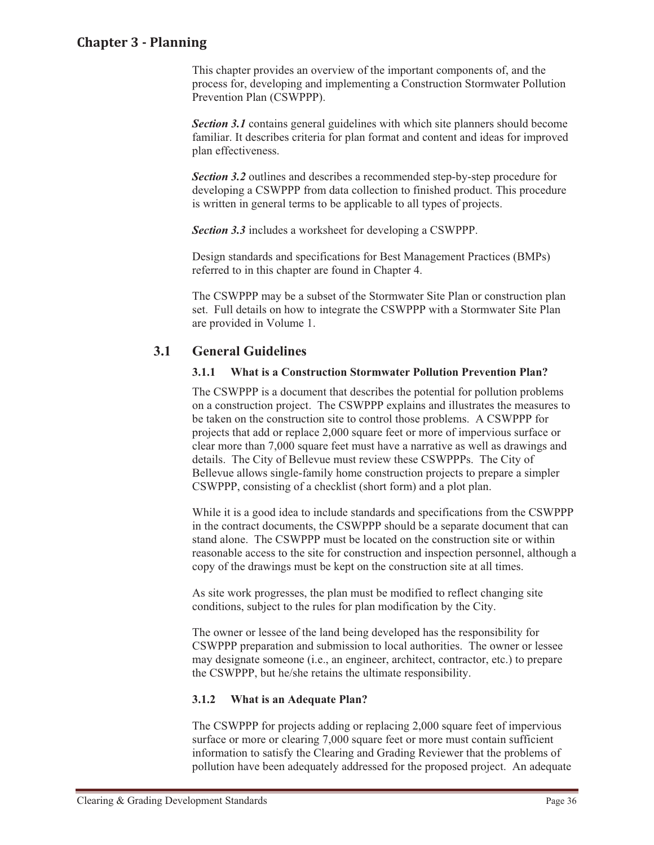#### **Chapter-Planning-Chapter 3 - Planning**

This chapter provides an overview of the important components of, and the process for, developing and implementing a Construction Stormwater Pollution Prevention Plan (CSWPPP).

*Section 3.1* contains general guidelines with which site planners should become familiar. It describes criteria for plan format and content and ideas for improved plan effectiveness.

*Section 3.2* outlines and describes a recommended step-by-step procedure for developing a CSWPPP from data collection to finished product. This procedure is written in general terms to be applicable to all types of projects.

*Section 3.3* includes a worksheet for developing a CSWPPP.

Design standards and specifications for Best Management Practices (BMPs) referred to in this chapter are found in Chapter 4.

The CSWPPP may be a subset of the Stormwater Site Plan or construction plan set. Full details on how to integrate the CSWPPP with a Stormwater Site Plan are provided in Volume 1.

#### **3.1 General Guidelines**

#### **3.1.1 What is a Construction Stormwater Pollution Prevention Plan?**

The CSWPPP is a document that describes the potential for pollution problems on a construction project. The CSWPPP explains and illustrates the measures to be taken on the construction site to control those problems. A CSWPPP for projects that add or replace 2,000 square feet or more of impervious surface or clear more than 7,000 square feet must have a narrative as well as drawings and details. The City of Bellevue must review these CSWPPPs. The City of Bellevue allows single-family home construction projects to prepare a simpler CSWPPP, consisting of a checklist (short form) and a plot plan.

While it is a good idea to include standards and specifications from the CSWPPP in the contract documents, the CSWPPP should be a separate document that can stand alone. The CSWPPP must be located on the construction site or within reasonable access to the site for construction and inspection personnel, although a copy of the drawings must be kept on the construction site at all times.

As site work progresses, the plan must be modified to reflect changing site conditions, subject to the rules for plan modification by the City.

The owner or lessee of the land being developed has the responsibility for CSWPPP preparation and submission to local authorities. The owner or lessee may designate someone (i.e., an engineer, architect, contractor, etc.) to prepare the CSWPPP, but he/she retains the ultimate responsibility.

#### **3.1.2 What is an Adequate Plan?**

The CSWPPP for projects adding or replacing 2,000 square feet of impervious surface or more or clearing 7,000 square feet or more must contain sufficient information to satisfy the Clearing and Grading Reviewer that the problems of pollution have been adequately addressed for the proposed project. An adequate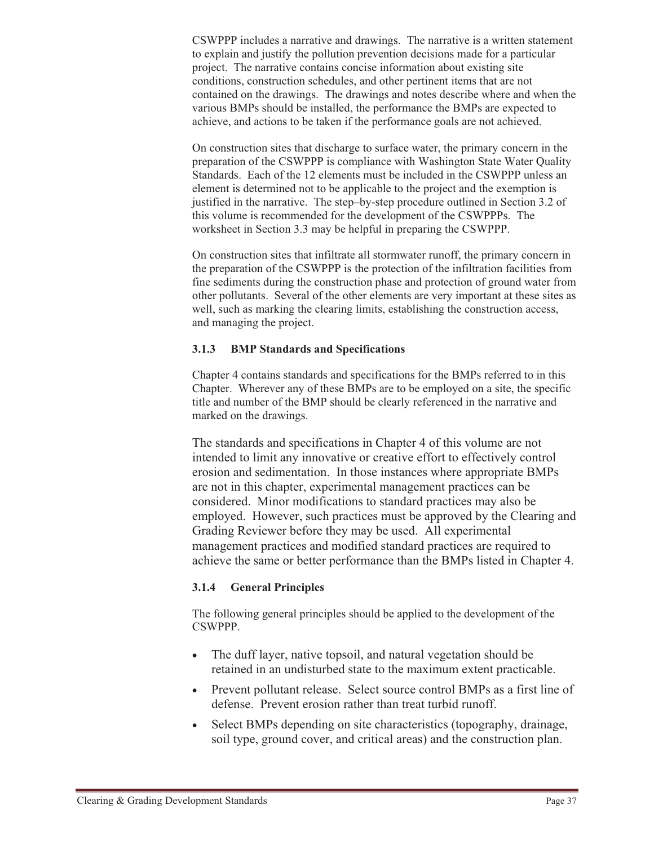CSWPPP includes a narrative and drawings. The narrative is a written statement to explain and justify the pollution prevention decisions made for a particular project. The narrative contains concise information about existing site conditions, construction schedules, and other pertinent items that are not contained on the drawings. The drawings and notes describe where and when the various BMPs should be installed, the performance the BMPs are expected to achieve, and actions to be taken if the performance goals are not achieved.

On construction sites that discharge to surface water, the primary concern in the preparation of the CSWPPP is compliance with Washington State Water Quality Standards. Each of the 12 elements must be included in the CSWPPP unless an element is determined not to be applicable to the project and the exemption is justified in the narrative. The step–by-step procedure outlined in Section 3.2 of this volume is recommended for the development of the CSWPPPs. The worksheet in Section 3.3 may be helpful in preparing the CSWPPP.

On construction sites that infiltrate all stormwater runoff, the primary concern in the preparation of the CSWPPP is the protection of the infiltration facilities from fine sediments during the construction phase and protection of ground water from other pollutants. Several of the other elements are very important at these sites as well, such as marking the clearing limits, establishing the construction access, and managing the project.

#### **3.1.3 BMP Standards and Specifications**

Chapter 4 contains standards and specifications for the BMPs referred to in this Chapter. Wherever any of these BMPs are to be employed on a site, the specific title and number of the BMP should be clearly referenced in the narrative and marked on the drawings.

The standards and specifications in Chapter 4 of this volume are not intended to limit any innovative or creative effort to effectively control erosion and sedimentation. In those instances where appropriate BMPs are not in this chapter, experimental management practices can be considered. Minor modifications to standard practices may also be employed. However, such practices must be approved by the Clearing and Grading Reviewer before they may be used. All experimental management practices and modified standard practices are required to achieve the same or better performance than the BMPs listed in Chapter 4.

#### **3.1.4 General Principles**

The following general principles should be applied to the development of the CSWPPP.

- $\bullet$  The duff layer, native topsoil, and natural vegetation should be retained in an undisturbed state to the maximum extent practicable.
- Prevent pollutant release. Select source control BMPs as a first line of defense. Prevent erosion rather than treat turbid runoff.
- - Select BMPs depending on site characteristics (topography, drainage, soil type, ground cover, and critical areas) and the construction plan.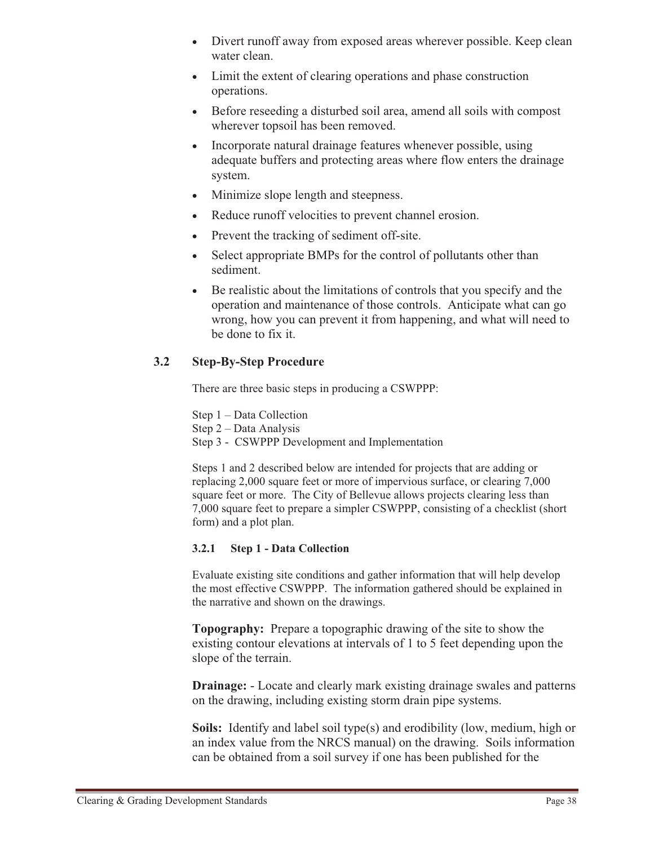- Divert runoff away from exposed areas wherever possible. Keep clean water clean.
- Limit the extent of clearing operations and phase construction operations.
- Before reseeding a disturbed soil area, amend all soils with compost wherever topsoil has been removed.
- - Incorporate natural drainage features whenever possible, using adequate buffers and protecting areas where flow enters the drainage system.
- Minimize slope length and steepness.
- Reduce runoff velocities to prevent channel erosion.
- Prevent the tracking of sediment off-site.
- - Select appropriate BMPs for the control of pollutants other than sediment.
- $\bullet$  Be realistic about the limitations of controls that you specify and the operation and maintenance of those controls. Anticipate what can go wrong, how you can prevent it from happening, and what will need to be done to fix it.

# **3.2 Step-By-Step Procedure**

There are three basic steps in producing a CSWPPP:

Step 1 – Data Collection Step 2 – Data Analysis Step 3 - CSWPPP Development and Implementation

Steps 1 and 2 described below are intended for projects that are adding or replacing 2,000 square feet or more of impervious surface, or clearing 7,000 square feet or more. The City of Bellevue allows projects clearing less than 7,000 square feet to prepare a simpler CSWPPP, consisting of a checklist (short form) and a plot plan.

#### **3.2.1 Step 1 - Data Collection**

Evaluate existing site conditions and gather information that will help develop the most effective CSWPPP. The information gathered should be explained in the narrative and shown on the drawings.

**Topography:** Prepare a topographic drawing of the site to show the existing contour elevations at intervals of 1 to 5 feet depending upon the slope of the terrain.

**Drainage:** - Locate and clearly mark existing drainage swales and patterns on the drawing, including existing storm drain pipe systems.

**Soils:** Identify and label soil type(s) and erodibility (low, medium, high or an index value from the NRCS manual) on the drawing. Soils information can be obtained from a soil survey if one has been published for the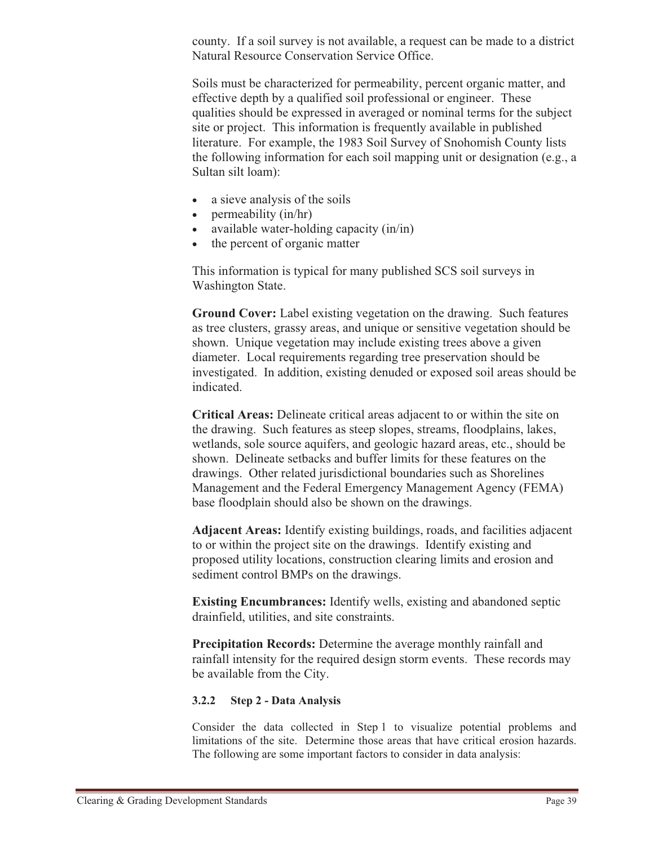county. If a soil survey is not available, a request can be made to a district Natural Resource Conservation Service Office.

Soils must be characterized for permeability, percent organic matter, and effective depth by a qualified soil professional or engineer. These qualities should be expressed in averaged or nominal terms for the subject site or project. This information is frequently available in published literature. For example, the 1983 Soil Survey of Snohomish County lists the following information for each soil mapping unit or designation (e.g., a Sultan silt loam):

- a sieve analysis of the soils
- permeability (in/hr)
- available water-holding capacity (in/in)
- the percent of organic matter

This information is typical for many published SCS soil surveys in Washington State.

**Ground Cover:** Label existing vegetation on the drawing. Such features as tree clusters, grassy areas, and unique or sensitive vegetation should be shown. Unique vegetation may include existing trees above a given diameter. Local requirements regarding tree preservation should be investigated. In addition, existing denuded or exposed soil areas should be indicated.

**Critical Areas:** Delineate critical areas adjacent to or within the site on the drawing. Such features as steep slopes, streams, floodplains, lakes, wetlands, sole source aquifers, and geologic hazard areas, etc., should be shown. Delineate setbacks and buffer limits for these features on the drawings. Other related jurisdictional boundaries such as Shorelines Management and the Federal Emergency Management Agency (FEMA) base floodplain should also be shown on the drawings.

**Adjacent Areas:** Identify existing buildings, roads, and facilities adjacent to or within the project site on the drawings. Identify existing and proposed utility locations, construction clearing limits and erosion and sediment control BMPs on the drawings.

**Existing Encumbrances:** Identify wells, existing and abandoned septic drainfield, utilities, and site constraints.

**Precipitation Records:** Determine the average monthly rainfall and rainfall intensity for the required design storm events. These records may be available from the City.

#### **3.2.2 Step 2 - Data Analysis**

Consider the data collected in Step 1 to visualize potential problems and limitations of the site. Determine those areas that have critical erosion hazards. The following are some important factors to consider in data analysis: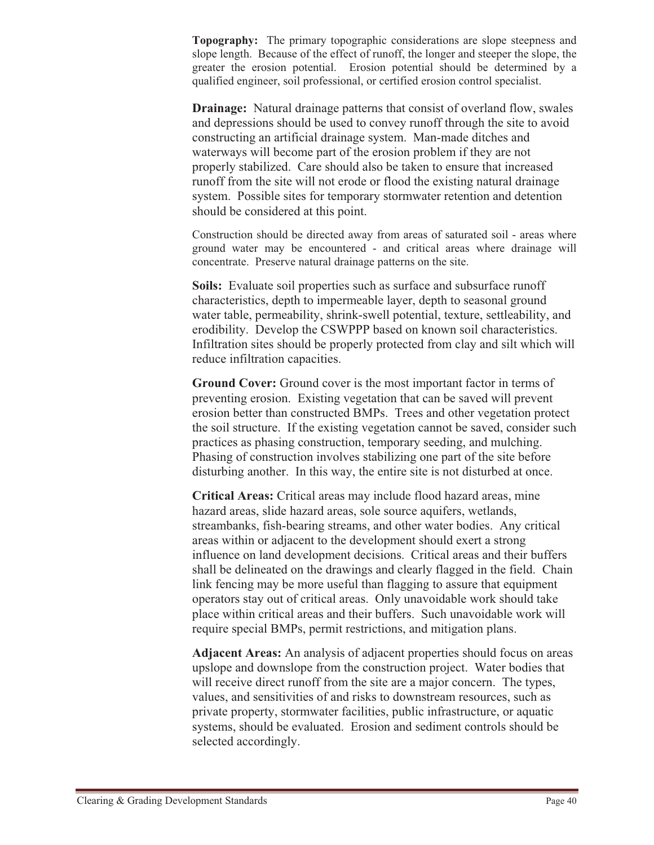**Topography:** The primary topographic considerations are slope steepness and slope length. Because of the effect of runoff, the longer and steeper the slope, the greater the erosion potential. Erosion potential should be determined by a qualified engineer, soil professional, or certified erosion control specialist.

**Drainage:** Natural drainage patterns that consist of overland flow, swales and depressions should be used to convey runoff through the site to avoid constructing an artificial drainage system. Man-made ditches and waterways will become part of the erosion problem if they are not properly stabilized. Care should also be taken to ensure that increased runoff from the site will not erode or flood the existing natural drainage system. Possible sites for temporary stormwater retention and detention should be considered at this point.

Construction should be directed away from areas of saturated soil - areas where ground water may be encountered - and critical areas where drainage will concentrate. Preserve natural drainage patterns on the site.

**Soils:** Evaluate soil properties such as surface and subsurface runoff characteristics, depth to impermeable layer, depth to seasonal ground water table, permeability, shrink-swell potential, texture, settleability, and erodibility. Develop the CSWPPP based on known soil characteristics. Infiltration sites should be properly protected from clay and silt which will reduce infiltration capacities.

**Ground Cover:** Ground cover is the most important factor in terms of preventing erosion. Existing vegetation that can be saved will prevent erosion better than constructed BMPs. Trees and other vegetation protect the soil structure. If the existing vegetation cannot be saved, consider such practices as phasing construction, temporary seeding, and mulching. Phasing of construction involves stabilizing one part of the site before disturbing another. In this way, the entire site is not disturbed at once.

**Critical Areas:** Critical areas may include flood hazard areas, mine hazard areas, slide hazard areas, sole source aquifers, wetlands, streambanks, fish-bearing streams, and other water bodies. Any critical areas within or adjacent to the development should exert a strong influence on land development decisions. Critical areas and their buffers shall be delineated on the drawings and clearly flagged in the field. Chain link fencing may be more useful than flagging to assure that equipment operators stay out of critical areas. Only unavoidable work should take place within critical areas and their buffers. Such unavoidable work will require special BMPs, permit restrictions, and mitigation plans.

**Adjacent Areas:** An analysis of adjacent properties should focus on areas upslope and downslope from the construction project. Water bodies that will receive direct runoff from the site are a major concern. The types, values, and sensitivities of and risks to downstream resources, such as private property, stormwater facilities, public infrastructure, or aquatic systems, should be evaluated. Erosion and sediment controls should be selected accordingly.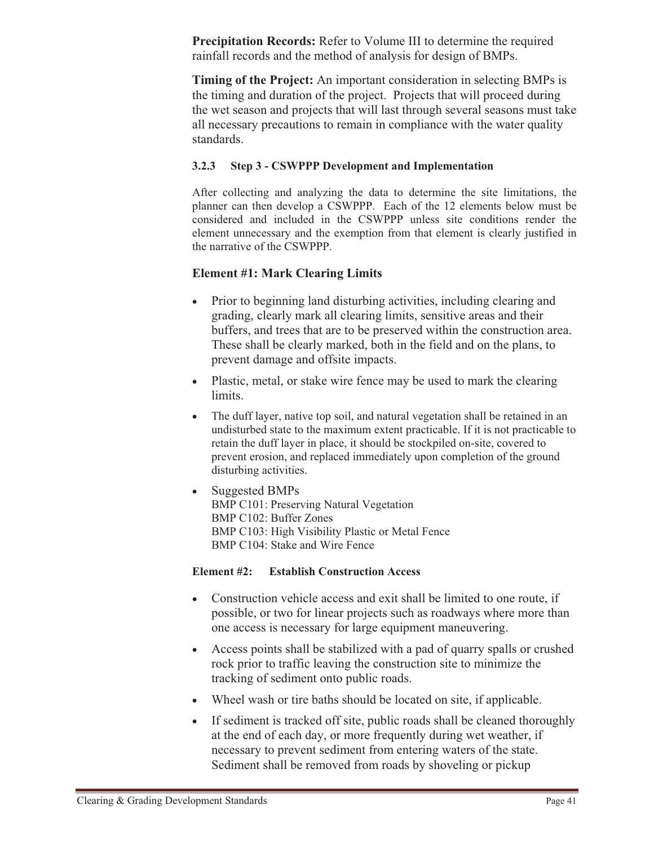**Precipitation Records:** Refer to Volume III to determine the required rainfall records and the method of analysis for design of BMPs.

**Timing of the Project:** An important consideration in selecting BMPs is the timing and duration of the project. Projects that will proceed during the wet season and projects that will last through several seasons must take all necessary precautions to remain in compliance with the water quality standards.

#### **3.2.3 Step 3 - CSWPPP Development and Implementation**

After collecting and analyzing the data to determine the site limitations, the planner can then develop a CSWPPP. Each of the 12 elements below must be considered and included in the CSWPPP unless site conditions render the element unnecessary and the exemption from that element is clearly justified in the narrative of the CSWPPP.

#### **Element #1: Mark Clearing Limits**

- - Prior to beginning land disturbing activities, including clearing and grading, clearly mark all clearing limits, sensitive areas and their buffers, and trees that are to be preserved within the construction area. These shall be clearly marked, both in the field and on the plans, to prevent damage and offsite impacts.
- Plastic, metal, or stake wire fence may be used to mark the clearing limits.
- $\bullet$  The duff layer, native top soil, and natural vegetation shall be retained in an undisturbed state to the maximum extent practicable. If it is not practicable to retain the duff layer in place, it should be stockpiled on-site, covered to prevent erosion, and replaced immediately upon completion of the ground disturbing activities.
- $\bullet$  Suggested BMPs BMP C101: Preserving Natural Vegetation BMP C102: Buffer Zones BMP C103: High Visibility Plastic or Metal Fence BMP C104: Stake and Wire Fence

#### **Element #2: Establish Construction Access**

- $\bullet$  Construction vehicle access and exit shall be limited to one route, if possible, or two for linear projects such as roadways where more than one access is necessary for large equipment maneuvering.
- Access points shall be stabilized with a pad of quarry spalls or crushed rock prior to traffic leaving the construction site to minimize the tracking of sediment onto public roads.
- Wheel wash or tire baths should be located on site, if applicable.
- If sediment is tracked off site, public roads shall be cleaned thoroughly at the end of each day, or more frequently during wet weather, if necessary to prevent sediment from entering waters of the state. Sediment shall be removed from roads by shoveling or pickup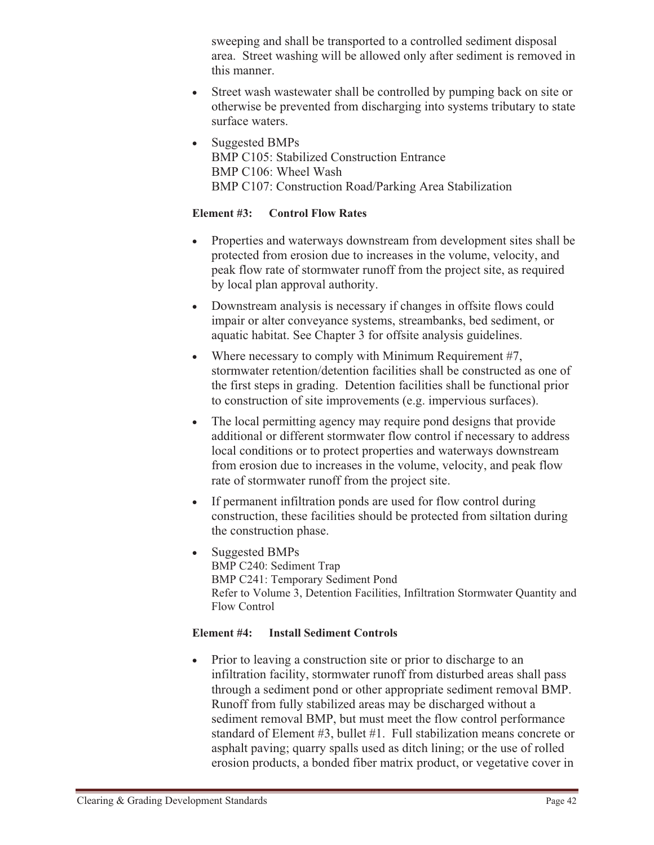sweeping and shall be transported to a controlled sediment disposal area. Street washing will be allowed only after sediment is removed in this manner.

- - Street wash wastewater shall be controlled by pumping back on site or otherwise be prevented from discharging into systems tributary to state surface waters.
- - Suggested BMPs BMP C105: Stabilized Construction Entrance BMP C106: Wheel Wash BMP C107: Construction Road/Parking Area Stabilization

#### **Element #3: Control Flow Rates**

- Properties and waterways downstream from development sites shall be protected from erosion due to increases in the volume, velocity, and peak flow rate of stormwater runoff from the project site, as required by local plan approval authority.
- Downstream analysis is necessary if changes in offsite flows could impair or alter conveyance systems, streambanks, bed sediment, or aquatic habitat. See Chapter 3 for offsite analysis guidelines.
- $\bullet$ Where necessary to comply with Minimum Requirement #7, stormwater retention/detention facilities shall be constructed as one of the first steps in grading. Detention facilities shall be functional prior to construction of site improvements (e.g. impervious surfaces).
- $\bullet$  The local permitting agency may require pond designs that provide additional or different stormwater flow control if necessary to address local conditions or to protect properties and waterways downstream from erosion due to increases in the volume, velocity, and peak flow rate of stormwater runoff from the project site.
- $\bullet$  If permanent infiltration ponds are used for flow control during construction, these facilities should be protected from siltation during the construction phase.
- - Suggested BMPs BMP C240: Sediment Trap BMP C241: Temporary Sediment Pond Refer to Volume 3, Detention Facilities, Infiltration Stormwater Quantity and Flow Control

#### **Element #4: Install Sediment Controls**

 $\bullet$  Prior to leaving a construction site or prior to discharge to an infiltration facility, stormwater runoff from disturbed areas shall pass through a sediment pond or other appropriate sediment removal BMP. Runoff from fully stabilized areas may be discharged without a sediment removal BMP, but must meet the flow control performance standard of Element #3, bullet #1. Full stabilization means concrete or asphalt paving; quarry spalls used as ditch lining; or the use of rolled erosion products, a bonded fiber matrix product, or vegetative cover in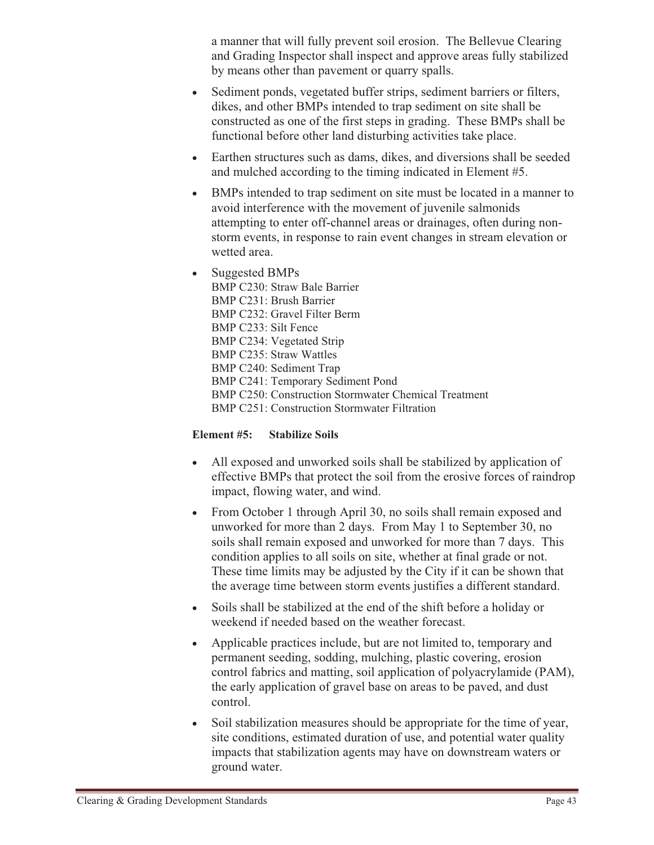a manner that will fully prevent soil erosion. The Bellevue Clearing and Grading Inspector shall inspect and approve areas fully stabilized by means other than pavement or quarry spalls.

- - Sediment ponds, vegetated buffer strips, sediment barriers or filters, dikes, and other BMPs intended to trap sediment on site shall be constructed as one of the first steps in grading. These BMPs shall be functional before other land disturbing activities take place.
- Earthen structures such as dams, dikes, and diversions shall be seeded and mulched according to the timing indicated in Element #5.
- $\bullet$  BMPs intended to trap sediment on site must be located in a manner to avoid interference with the movement of juvenile salmonids attempting to enter off-channel areas or drainages, often during nonstorm events, in response to rain event changes in stream elevation or wetted area.
- - Suggested BMPs BMP C230: Straw Bale Barrier BMP C231: Brush Barrier BMP C232: Gravel Filter Berm BMP C233: Silt Fence BMP C234: Vegetated Strip BMP C235: Straw Wattles BMP C240: Sediment Trap BMP C241: Temporary Sediment Pond BMP C250: Construction Stormwater Chemical Treatment BMP C251: Construction Stormwater Filtration

#### **Element #5: Stabilize Soils**

- $\bullet$  All exposed and unworked soils shall be stabilized by application of effective BMPs that protect the soil from the erosive forces of raindrop impact, flowing water, and wind.
- From October 1 through April 30, no soils shall remain exposed and unworked for more than 2 days. From May 1 to September 30, no soils shall remain exposed and unworked for more than 7 days. This condition applies to all soils on site, whether at final grade or not. These time limits may be adjusted by the City if it can be shown that the average time between storm events justifies a different standard.
- $-$  Soils shall be stabilized at the end of the shift before a holiday or weekend if needed based on the weather forecast.
- $\bullet$  Applicable practices include, but are not limited to, temporary and permanent seeding, sodding, mulching, plastic covering, erosion control fabrics and matting, soil application of polyacrylamide (PAM), the early application of gravel base on areas to be paved, and dust control.
- - Soil stabilization measures should be appropriate for the time of year, site conditions, estimated duration of use, and potential water quality impacts that stabilization agents may have on downstream waters or ground water.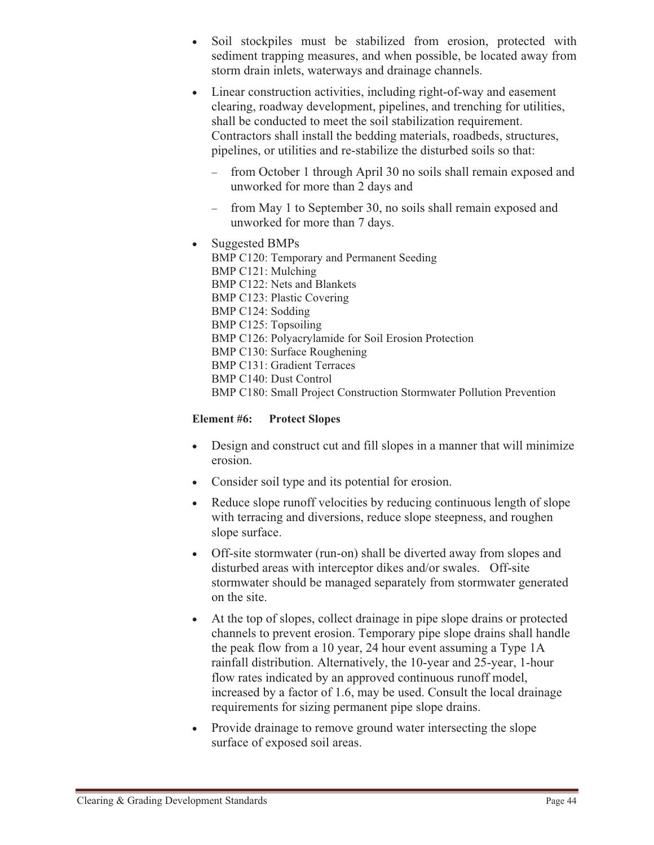- - Soil stockpiles must be stabilized from erosion, protected with sediment trapping measures, and when possible, be located away from storm drain inlets, waterways and drainage channels.
- - Linear construction activities, including right-of-way and easement clearing, roadway development, pipelines, and trenching for utilities, shall be conducted to meet the soil stabilization requirement. Contractors shall install the bedding materials, roadbeds, structures, pipelines, or utilities and re-stabilize the disturbed soils so that:
	- from October 1 through April 30 no soils shall remain exposed and unworked for more than 2 days and
	- from May 1 to September 30, no soils shall remain exposed and unworked for more than 7 days.
	- Suggested BMPs BMP C120: Temporary and Permanent Seeding BMP C121: Mulching BMP C122: Nets and Blankets BMP C123: Plastic Covering BMP C124: Sodding BMP C125: Topsoiling BMP C126: Polyacrylamide for Soil Erosion Protection BMP C130: Surface Roughening BMP C131: Gradient Terraces BMP C140: Dust Control BMP C180: Small Project Construction Stormwater Pollution Prevention

### **Element #6: Protect Slopes**

-

- Design and construct cut and fill slopes in a manner that will minimize erosion.
- Consider soil type and its potential for erosion.
- Reduce slope runoff velocities by reducing continuous length of slope with terracing and diversions, reduce slope steepness, and roughen slope surface.
- Off-site stormwater (run-on) shall be diverted away from slopes and disturbed areas with interceptor dikes and/or swales. Off-site stormwater should be managed separately from stormwater generated on the site.
- - At the top of slopes, collect drainage in pipe slope drains or protected channels to prevent erosion. Temporary pipe slope drains shall handle the peak flow from a 10 year, 24 hour event assuming a Type 1A rainfall distribution. Alternatively, the 10-year and 25-year, 1-hour flow rates indicated by an approved continuous runoff model, increased by a factor of 1.6, may be used. Consult the local drainage requirements for sizing permanent pipe slope drains.
- Provide drainage to remove ground water intersecting the slope surface of exposed soil areas.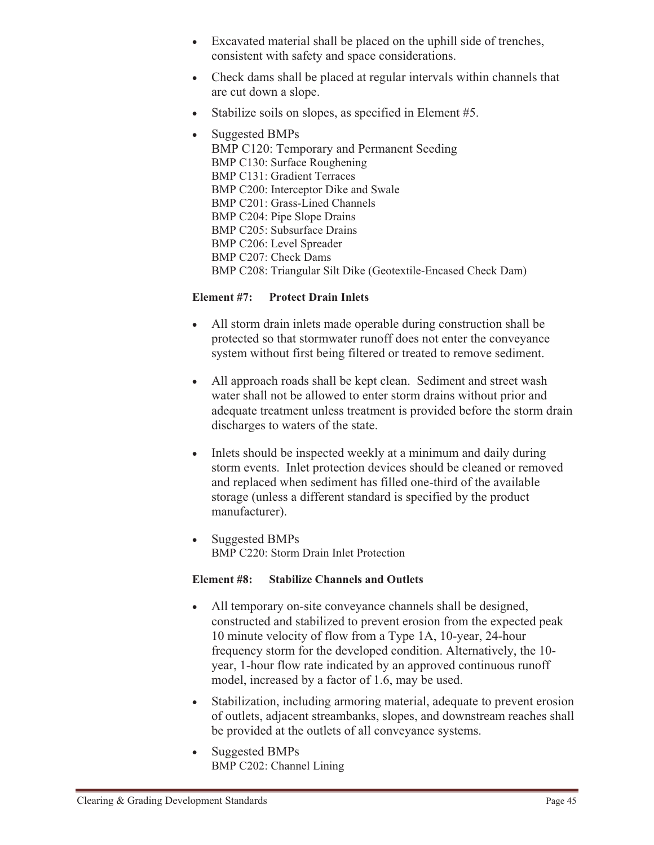- Excavated material shall be placed on the uphill side of trenches, consistent with safety and space considerations.
- Check dams shall be placed at regular intervals within channels that are cut down a slope.
- $\bullet$ Stabilize soils on slopes, as specified in Element #5.
- Suggested BMPs BMP C120: Temporary and Permanent Seeding BMP C130: Surface Roughening BMP C131: Gradient Terraces BMP C200: Interceptor Dike and Swale BMP C201: Grass-Lined Channels BMP C204: Pipe Slope Drains BMP C205: Subsurface Drains BMP C206: Level Spreader BMP C207: Check Dams BMP C208: Triangular Silt Dike (Geotextile-Encased Check Dam)

#### **Element #7: Protect Drain Inlets**

- - All storm drain inlets made operable during construction shall be protected so that stormwater runoff does not enter the conveyance system without first being filtered or treated to remove sediment.
- $\bullet$  All approach roads shall be kept clean. Sediment and street wash water shall not be allowed to enter storm drains without prior and adequate treatment unless treatment is provided before the storm drain discharges to waters of the state.
- - Inlets should be inspected weekly at a minimum and daily during storm events. Inlet protection devices should be cleaned or removed and replaced when sediment has filled one-third of the available storage (unless a different standard is specified by the product manufacturer).
- $\bullet$  Suggested BMPs BMP C220: Storm Drain Inlet Protection

#### **Element #8: Stabilize Channels and Outlets**

- $\bullet$  All temporary on-site conveyance channels shall be designed, constructed and stabilized to prevent erosion from the expected peak 10 minute velocity of flow from a Type 1A, 10-year, 24-hour frequency storm for the developed condition. Alternatively, the 10 year, 1-hour flow rate indicated by an approved continuous runoff model, increased by a factor of 1.6, may be used.
- - Stabilization, including armoring material, adequate to prevent erosion of outlets, adjacent streambanks, slopes, and downstream reaches shall be provided at the outlets of all conveyance systems.
- - Suggested BMPs BMP C202: Channel Lining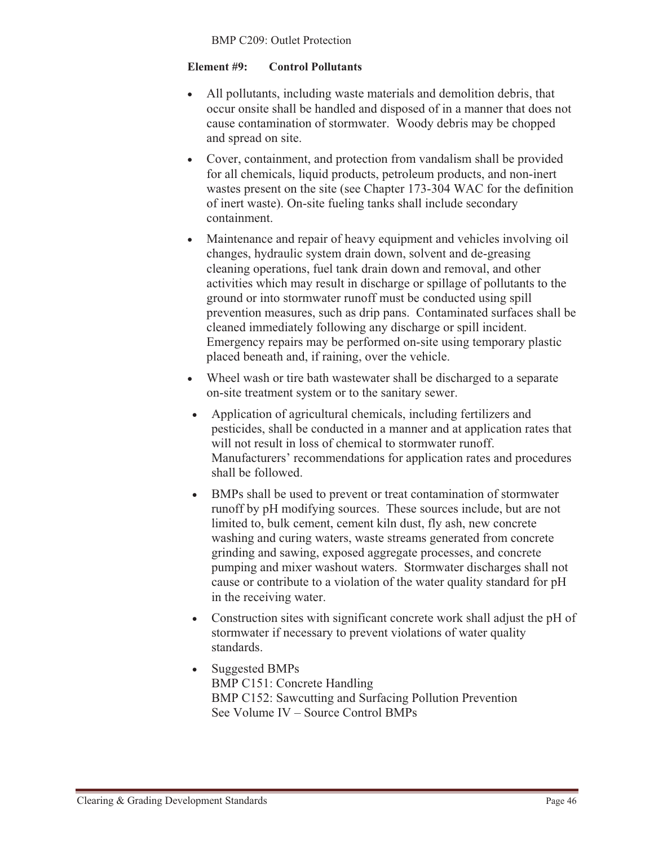#### **Element #9: Control Pollutants**

- $\bullet$  All pollutants, including waste materials and demolition debris, that occur onsite shall be handled and disposed of in a manner that does not cause contamination of stormwater. Woody debris may be chopped and spread on site.
- $\bullet$  Cover, containment, and protection from vandalism shall be provided for all chemicals, liquid products, petroleum products, and non-inert wastes present on the site (see Chapter 173-304 WAC for the definition of inert waste). On-site fueling tanks shall include secondary containment.
- - Maintenance and repair of heavy equipment and vehicles involving oil changes, hydraulic system drain down, solvent and de-greasing cleaning operations, fuel tank drain down and removal, and other activities which may result in discharge or spillage of pollutants to the ground or into stormwater runoff must be conducted using spill prevention measures, such as drip pans. Contaminated surfaces shall be cleaned immediately following any discharge or spill incident. Emergency repairs may be performed on-site using temporary plastic placed beneath and, if raining, over the vehicle.
- Wheel wash or tire bath wastewater shall be discharged to a separate on-site treatment system or to the sanitary sewer.
- $\bullet$  Application of agricultural chemicals, including fertilizers and pesticides, shall be conducted in a manner and at application rates that will not result in loss of chemical to stormwater runoff. Manufacturers' recommendations for application rates and procedures shall be followed.
- $\bullet$  BMPs shall be used to prevent or treat contamination of stormwater runoff by pH modifying sources. These sources include, but are not limited to, bulk cement, cement kiln dust, fly ash, new concrete washing and curing waters, waste streams generated from concrete grinding and sawing, exposed aggregate processes, and concrete pumping and mixer washout waters. Stormwater discharges shall not cause or contribute to a violation of the water quality standard for pH in the receiving water.
- $\bullet$  Construction sites with significant concrete work shall adjust the pH of stormwater if necessary to prevent violations of water quality standards.
- $\bullet$  Suggested BMPs BMP C151: Concrete Handling BMP C152: Sawcutting and Surfacing Pollution Prevention See Volume IV – Source Control BMPs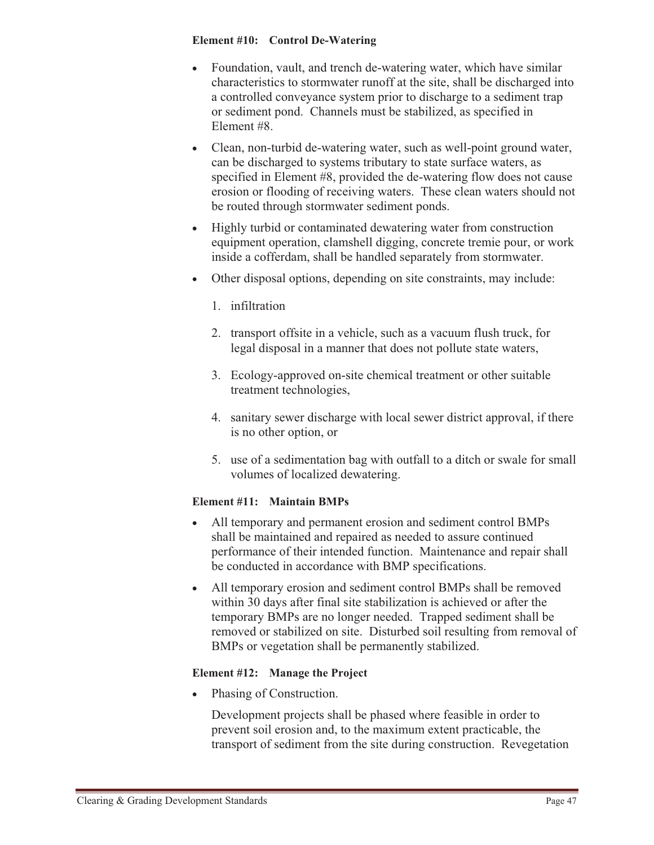#### **Element #10: Control De-Watering**

- $\bullet$  Foundation, vault, and trench de-watering water, which have similar characteristics to stormwater runoff at the site, shall be discharged into a controlled conveyance system prior to discharge to a sediment trap or sediment pond. Channels must be stabilized, as specified in Element #8.
- Clean, non-turbid de-watering water, such as well-point ground water, can be discharged to systems tributary to state surface waters, as specified in Element #8, provided the de-watering flow does not cause erosion or flooding of receiving waters. These clean waters should not be routed through stormwater sediment ponds.
- Highly turbid or contaminated dewatering water from construction equipment operation, clamshell digging, concrete tremie pour, or work inside a cofferdam, shall be handled separately from stormwater.
- Other disposal options, depending on site constraints, may include:
	- 1. infiltration
	- 2. transport offsite in a vehicle, such as a vacuum flush truck, for legal disposal in a manner that does not pollute state waters,
	- 3. Ecology-approved on-site chemical treatment or other suitable treatment technologies,
	- 4. sanitary sewer discharge with local sewer district approval, if there is no other option, or
	- 5. use of a sedimentation bag with outfall to a ditch or swale for small volumes of localized dewatering.

#### **Element #11: Maintain BMPs**

- - All temporary and permanent erosion and sediment control BMPs shall be maintained and repaired as needed to assure continued performance of their intended function. Maintenance and repair shall be conducted in accordance with BMP specifications.
- - All temporary erosion and sediment control BMPs shall be removed within 30 days after final site stabilization is achieved or after the temporary BMPs are no longer needed. Trapped sediment shall be removed or stabilized on site. Disturbed soil resulting from removal of BMPs or vegetation shall be permanently stabilized.

#### **Element #12: Manage the Project**

 $\bullet$ Phasing of Construction.

> Development projects shall be phased where feasible in order to prevent soil erosion and, to the maximum extent practicable, the transport of sediment from the site during construction. Revegetation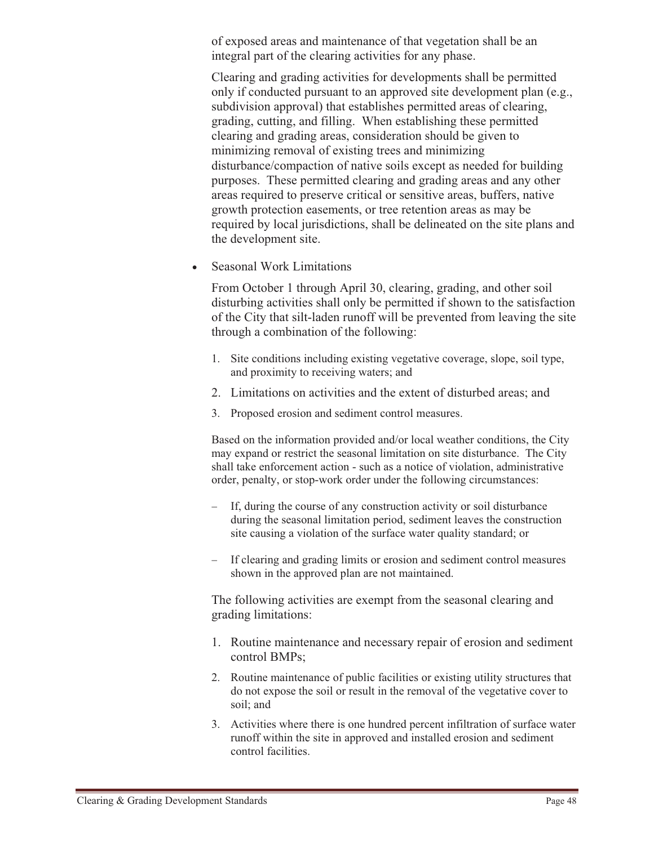of exposed areas and maintenance of that vegetation shall be an integral part of the clearing activities for any phase.

Clearing and grading activities for developments shall be permitted only if conducted pursuant to an approved site development plan (e.g., subdivision approval) that establishes permitted areas of clearing, grading, cutting, and filling. When establishing these permitted clearing and grading areas, consideration should be given to minimizing removal of existing trees and minimizing disturbance/compaction of native soils except as needed for building purposes. These permitted clearing and grading areas and any other areas required to preserve critical or sensitive areas, buffers, native growth protection easements, or tree retention areas as may be required by local jurisdictions, shall be delineated on the site plans and the development site.

 $\bullet$ Seasonal Work Limitations

> From October 1 through April 30, clearing, grading, and other soil disturbing activities shall only be permitted if shown to the satisfaction of the City that silt-laden runoff will be prevented from leaving the site through a combination of the following:

- 1. Site conditions including existing vegetative coverage, slope, soil type, and proximity to receiving waters; and
- 2. Limitations on activities and the extent of disturbed areas; and
- 3. Proposed erosion and sediment control measures.

Based on the information provided and/or local weather conditions, the City may expand or restrict the seasonal limitation on site disturbance. The City shall take enforcement action - such as a notice of violation, administrative order, penalty, or stop-work order under the following circumstances:

- If, during the course of any construction activity or soil disturbance during the seasonal limitation period, sediment leaves the construction site causing a violation of the surface water quality standard; or
- If clearing and grading limits or erosion and sediment control measures shown in the approved plan are not maintained.

The following activities are exempt from the seasonal clearing and grading limitations:

- 1. Routine maintenance and necessary repair of erosion and sediment control BMPs;
- 2. Routine maintenance of public facilities or existing utility structures that do not expose the soil or result in the removal of the vegetative cover to soil; and
- 3. Activities where there is one hundred percent infiltration of surface water runoff within the site in approved and installed erosion and sediment control facilities.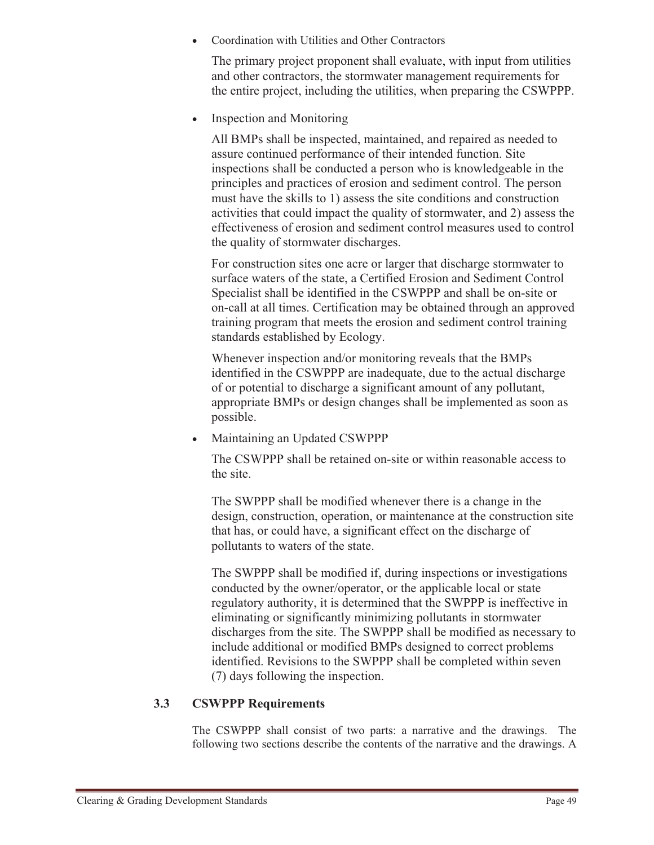-Coordination with Utilities and Other Contractors

The primary project proponent shall evaluate, with input from utilities and other contractors, the stormwater management requirements for the entire project, including the utilities, when preparing the CSWPPP.

-Inspection and Monitoring

> All BMPs shall be inspected, maintained, and repaired as needed to assure continued performance of their intended function. Site inspections shall be conducted a person who is knowledgeable in the principles and practices of erosion and sediment control. The person must have the skills to 1) assess the site conditions and construction activities that could impact the quality of stormwater, and 2) assess the effectiveness of erosion and sediment control measures used to control the quality of stormwater discharges.

> For construction sites one acre or larger that discharge stormwater to surface waters of the state, a Certified Erosion and Sediment Control Specialist shall be identified in the CSWPPP and shall be on-site or on-call at all times. Certification may be obtained through an approved training program that meets the erosion and sediment control training standards established by Ecology.

Whenever inspection and/or monitoring reveals that the BMPs identified in the CSWPPP are inadequate, due to the actual discharge of or potential to discharge a significant amount of any pollutant, appropriate BMPs or design changes shall be implemented as soon as possible.

-Maintaining an Updated CSWPPP

> The CSWPPP shall be retained on-site or within reasonable access to the site.

The SWPPP shall be modified whenever there is a change in the design, construction, operation, or maintenance at the construction site that has, or could have, a significant effect on the discharge of pollutants to waters of the state.

The SWPPP shall be modified if, during inspections or investigations conducted by the owner/operator, or the applicable local or state regulatory authority, it is determined that the SWPPP is ineffective in eliminating or significantly minimizing pollutants in stormwater discharges from the site. The SWPPP shall be modified as necessary to include additional or modified BMPs designed to correct problems identified. Revisions to the SWPPP shall be completed within seven (7) days following the inspection.

#### **3.3 CSWPPP Requirements**

The CSWPPP shall consist of two parts: a narrative and the drawings. The following two sections describe the contents of the narrative and the drawings. A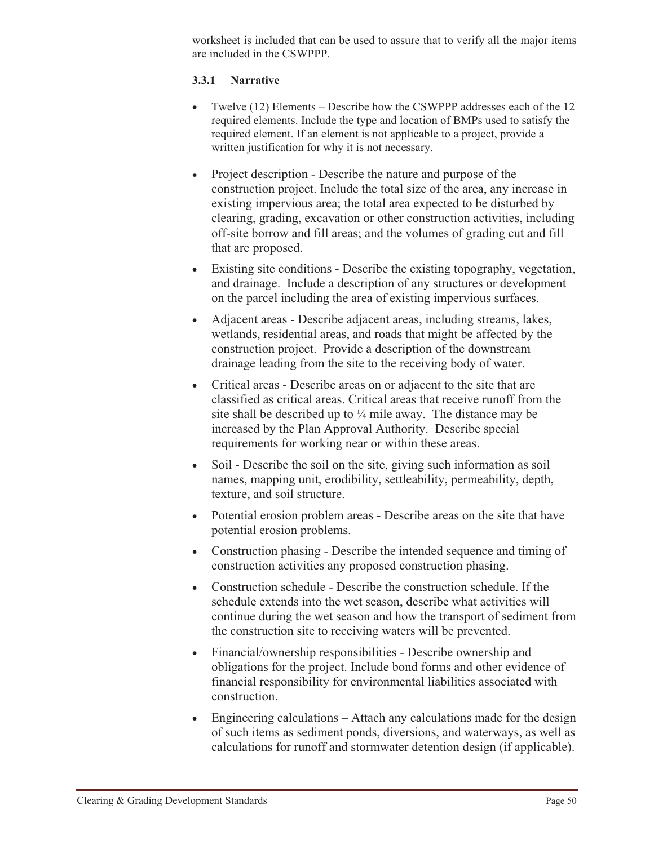worksheet is included that can be used to assure that to verify all the major items are included in the CSWPPP.

#### **3.3.1 Narrative**

- Twelve (12) Elements Describe how the CSWPPP addresses each of the 12 required elements. Include the type and location of BMPs used to satisfy the required element. If an element is not applicable to a project, provide a written justification for why it is not necessary.
- Project description Describe the nature and purpose of the construction project. Include the total size of the area, any increase in existing impervious area; the total area expected to be disturbed by clearing, grading, excavation or other construction activities, including off-site borrow and fill areas; and the volumes of grading cut and fill that are proposed.
- Existing site conditions Describe the existing topography, vegetation, and drainage. Include a description of any structures or development on the parcel including the area of existing impervious surfaces.
- Adjacent areas Describe adjacent areas, including streams, lakes, wetlands, residential areas, and roads that might be affected by the construction project. Provide a description of the downstream drainage leading from the site to the receiving body of water.
- Critical areas Describe areas on or adjacent to the site that are classified as critical areas. Critical areas that receive runoff from the site shall be described up to  $\frac{1}{4}$  mile away. The distance may be increased by the Plan Approval Authority. Describe special requirements for working near or within these areas.
- $\bullet$  Soil - Describe the soil on the site, giving such information as soil names, mapping unit, erodibility, settleability, permeability, depth, texture, and soil structure.
- Potential erosion problem areas Describe areas on the site that have potential erosion problems.
- Construction phasing Describe the intended sequence and timing of construction activities any proposed construction phasing.
- Construction schedule Describe the construction schedule. If the schedule extends into the wet season, describe what activities will continue during the wet season and how the transport of sediment from the construction site to receiving waters will be prevented.
- $\bullet$  Financial/ownership responsibilities - Describe ownership and obligations for the project. Include bond forms and other evidence of financial responsibility for environmental liabilities associated with construction.
- - Engineering calculations – Attach any calculations made for the design of such items as sediment ponds, diversions, and waterways, as well as calculations for runoff and stormwater detention design (if applicable).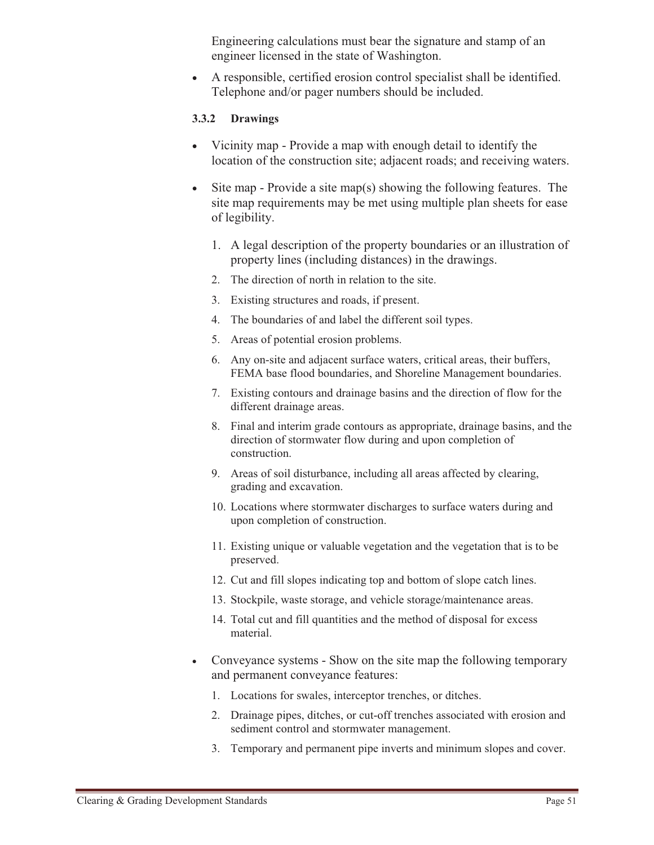Engineering calculations must bear the signature and stamp of an engineer licensed in the state of Washington.

- A responsible, certified erosion control specialist shall be identified. Telephone and/or pager numbers should be included.

#### **3.3.2 Drawings**

- - Vicinity map - Provide a map with enough detail to identify the location of the construction site; adjacent roads; and receiving waters.
- - Site map - Provide a site map(s) showing the following features. The site map requirements may be met using multiple plan sheets for ease of legibility.
	- 1. A legal description of the property boundaries or an illustration of property lines (including distances) in the drawings.
	- 2. The direction of north in relation to the site.
	- 3. Existing structures and roads, if present.
	- 4. The boundaries of and label the different soil types.
	- 5. Areas of potential erosion problems.
	- 6. Any on-site and adjacent surface waters, critical areas, their buffers, FEMA base flood boundaries, and Shoreline Management boundaries.
	- 7. Existing contours and drainage basins and the direction of flow for the different drainage areas.
	- 8. Final and interim grade contours as appropriate, drainage basins, and the direction of stormwater flow during and upon completion of construction.
	- 9. Areas of soil disturbance, including all areas affected by clearing, grading and excavation.
	- 10. Locations where stormwater discharges to surface waters during and upon completion of construction.
	- 11. Existing unique or valuable vegetation and the vegetation that is to be preserved.
	- 12. Cut and fill slopes indicating top and bottom of slope catch lines.
	- 13. Stockpile, waste storage, and vehicle storage/maintenance areas.
	- 14. Total cut and fill quantities and the method of disposal for excess material.
- - Conveyance systems - Show on the site map the following temporary and permanent conveyance features:
	- 1. Locations for swales, interceptor trenches, or ditches.
	- 2. Drainage pipes, ditches, or cut-off trenches associated with erosion and sediment control and stormwater management.
	- 3. Temporary and permanent pipe inverts and minimum slopes and cover.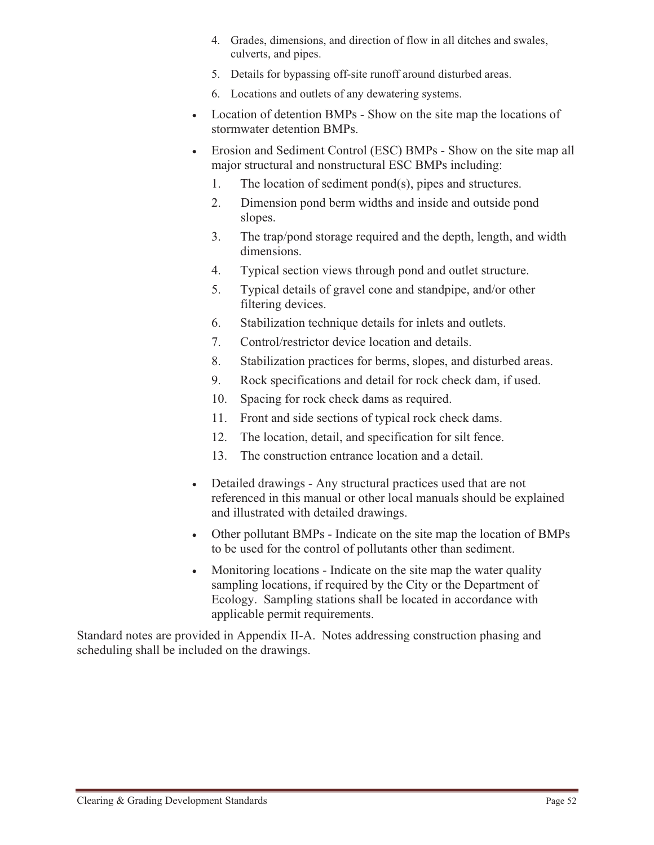- 4. Grades, dimensions, and direction of flow in all ditches and swales, culverts, and pipes.
- 5. Details for bypassing off-site runoff around disturbed areas.
- 6. Locations and outlets of any dewatering systems.
- Location of detention BMPs Show on the site map the locations of stormwater detention BMPs.
- Erosion and Sediment Control (ESC) BMPs Show on the site map all major structural and nonstructural ESC BMPs including:
	- 1. The location of sediment pond(s), pipes and structures.
	- 2. Dimension pond berm widths and inside and outside pond slopes.
	- 3. The trap/pond storage required and the depth, length, and width dimensions.
	- 4. Typical section views through pond and outlet structure.
	- 5. Typical details of gravel cone and standpipe, and/or other filtering devices.
	- 6. Stabilization technique details for inlets and outlets.
	- 7. Control/restrictor device location and details.
	- 8. Stabilization practices for berms, slopes, and disturbed areas.
	- 9. Rock specifications and detail for rock check dam, if used.
	- 10. Spacing for rock check dams as required.
	- 11. Front and side sections of typical rock check dams.
	- 12. The location, detail, and specification for silt fence.
	- 13. The construction entrance location and a detail.
- $\bullet$  Detailed drawings - Any structural practices used that are not referenced in this manual or other local manuals should be explained and illustrated with detailed drawings.
- Other pollutant BMPs Indicate on the site map the location of BMPs to be used for the control of pollutants other than sediment.
- $\bullet$  Monitoring locations - Indicate on the site map the water quality sampling locations, if required by the City or the Department of Ecology. Sampling stations shall be located in accordance with applicable permit requirements.

Standard notes are provided in Appendix II-A. Notes addressing construction phasing and scheduling shall be included on the drawings.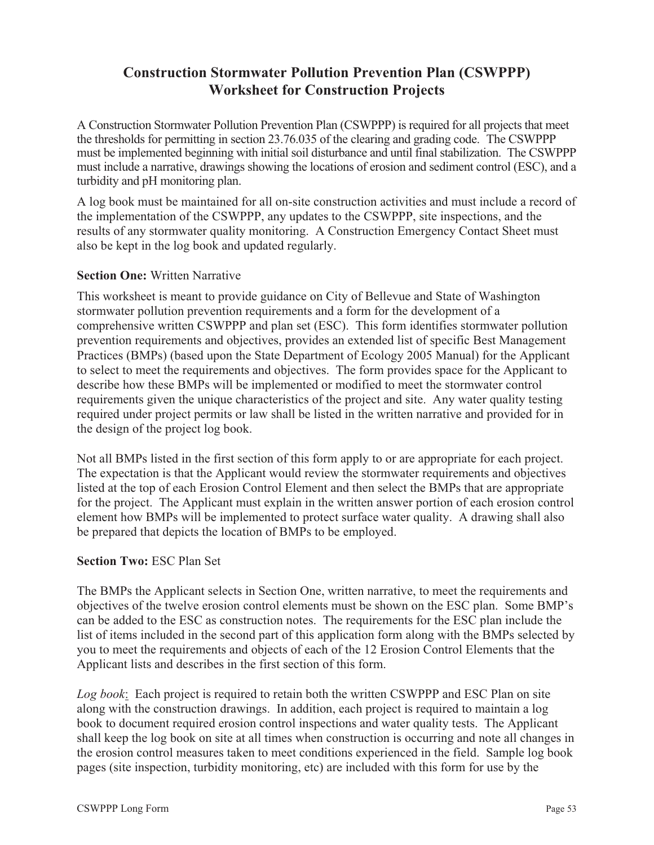# **Construction Stormwater Pollution Prevention Plan (CSWPPP) Worksheet for Construction Projects**

A Construction Stormwater Pollution Prevention Plan (CSWPPP) is required for all projects that meet the thresholds for permitting in section 23.76.035 of the clearing and grading code. The CSWPPP must be implemented beginning with initial soil disturbance and until final stabilization. The CSWPPP must include a narrative, drawings showing the locations of erosion and sediment control (ESC), and a turbidity and pH monitoring plan.

A log book must be maintained for all on-site construction activities and must include a record of the implementation of the CSWPPP, any updates to the CSWPPP, site inspections, and the results of any stormwater quality monitoring. A Construction Emergency Contact Sheet must also be kept in the log book and updated regularly.

#### **Section One: Written Narrative**

This worksheet is meant to provide guidance on City of Bellevue and State of Washington stormwater pollution prevention requirements and a form for the development of a comprehensive written CSWPPP and plan set (ESC). This form identifies stormwater pollution prevention requirements and objectives, provides an extended list of specific Best Management Practices (BMPs) (based upon the State Department of Ecology 2005 Manual) for the Applicant to select to meet the requirements and objectives. The form provides space for the Applicant to describe how these BMPs will be implemented or modified to meet the stormwater control requirements given the unique characteristics of the project and site. Any water quality testing required under project permits or law shall be listed in the written narrative and provided for in the design of the project log book.

Not all BMPs listed in the first section of this form apply to or are appropriate for each project. The expectation is that the Applicant would review the stormwater requirements and objectives listed at the top of each Erosion Control Element and then select the BMPs that are appropriate for the project. The Applicant must explain in the written answer portion of each erosion control element how BMPs will be implemented to protect surface water quality. A drawing shall also be prepared that depicts the location of BMPs to be employed.

#### **Section Two:** ESC Plan Set

The BMPs the Applicant selects in Section One, written narrative, to meet the requirements and objectives of the twelve erosion control elements must be shown on the ESC plan. Some BMP's can be added to the ESC as construction notes. The requirements for the ESC plan include the list of items included in the second part of this application form along with the BMPs selected by you to meet the requirements and objects of each of the 12 Erosion Control Elements that the Applicant lists and describes in the first section of this form.

*Log book*: Each project is required to retain both the written CSWPPP and ESC Plan on site along with the construction drawings. In addition, each project is required to maintain a log book to document required erosion control inspections and water quality tests. The Applicant shall keep the log book on site at all times when construction is occurring and note all changes in the erosion control measures taken to meet conditions experienced in the field. Sample log book pages (site inspection, turbidity monitoring, etc) are included with this form for use by the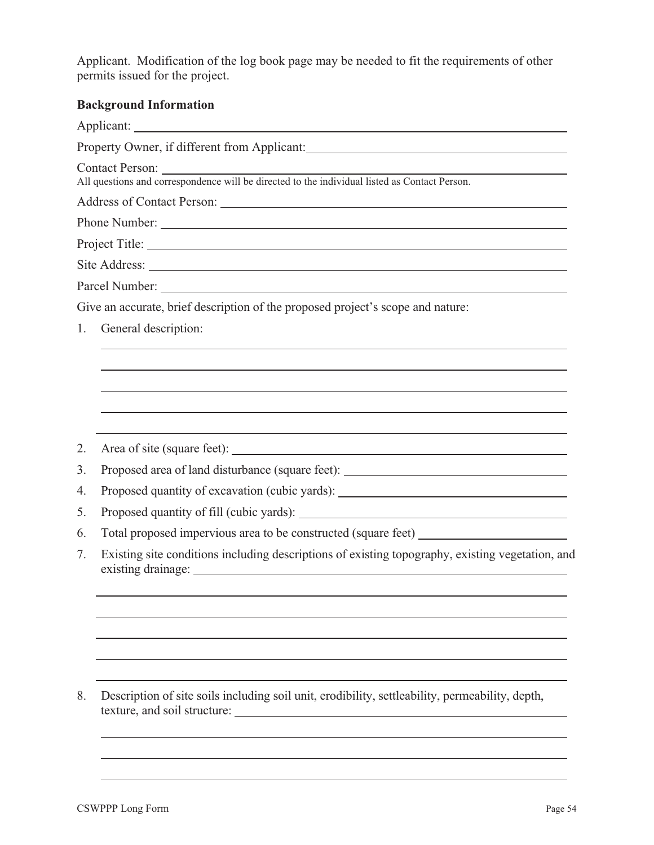Applicant. Modification of the log book page may be needed to fit the requirements of other permits issued for the project.

# **Background Information**

| Dackground miormation                                                                                                                                                                                                                                   |
|---------------------------------------------------------------------------------------------------------------------------------------------------------------------------------------------------------------------------------------------------------|
|                                                                                                                                                                                                                                                         |
|                                                                                                                                                                                                                                                         |
|                                                                                                                                                                                                                                                         |
|                                                                                                                                                                                                                                                         |
| Phone Number:                                                                                                                                                                                                                                           |
|                                                                                                                                                                                                                                                         |
|                                                                                                                                                                                                                                                         |
|                                                                                                                                                                                                                                                         |
| Give an accurate, brief description of the proposed project's scope and nature:                                                                                                                                                                         |
| General description:                                                                                                                                                                                                                                    |
|                                                                                                                                                                                                                                                         |
|                                                                                                                                                                                                                                                         |
|                                                                                                                                                                                                                                                         |
|                                                                                                                                                                                                                                                         |
|                                                                                                                                                                                                                                                         |
|                                                                                                                                                                                                                                                         |
| Proposed area of land disturbance (square feet): ________________________________                                                                                                                                                                       |
| Proposed quantity of excavation (cubic yards): _________________________________                                                                                                                                                                        |
|                                                                                                                                                                                                                                                         |
| Total proposed impervious area to be constructed (square feet) __________________                                                                                                                                                                       |
| Existing site conditions including descriptions of existing topography, existing vegetation, and                                                                                                                                                        |
|                                                                                                                                                                                                                                                         |
|                                                                                                                                                                                                                                                         |
|                                                                                                                                                                                                                                                         |
|                                                                                                                                                                                                                                                         |
|                                                                                                                                                                                                                                                         |
| Description of site soils including soil unit, erodibility, settleability, permeability, depth,<br>texture, and soil structure:<br><u> 1980 - Jan Stein Stein Stein Stein Stein Stein Stein Stein Stein Stein Stein Stein Stein Stein Stein Stein S</u> |
|                                                                                                                                                                                                                                                         |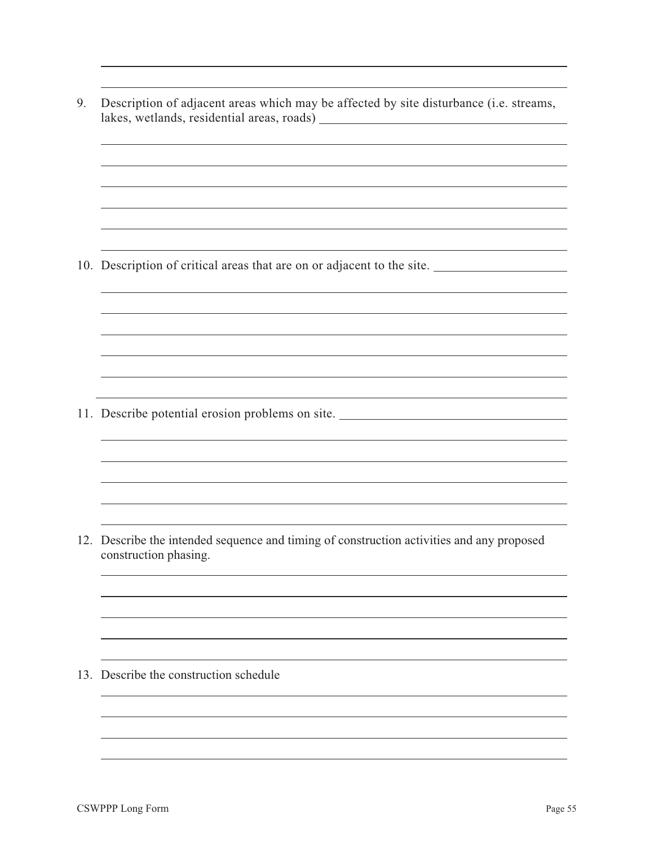9. Description of adjacent areas which may be affected by site disturbance (i.e. streams, lakes, wetlands, residential areas, roads) 10. Description of critical areas that are on or adjacent to the site. 11. Describe potential erosion problems on site. 12. Describe the intended sequence and timing of construction activities and any proposed construction phasing. 13. Describe the construction schedule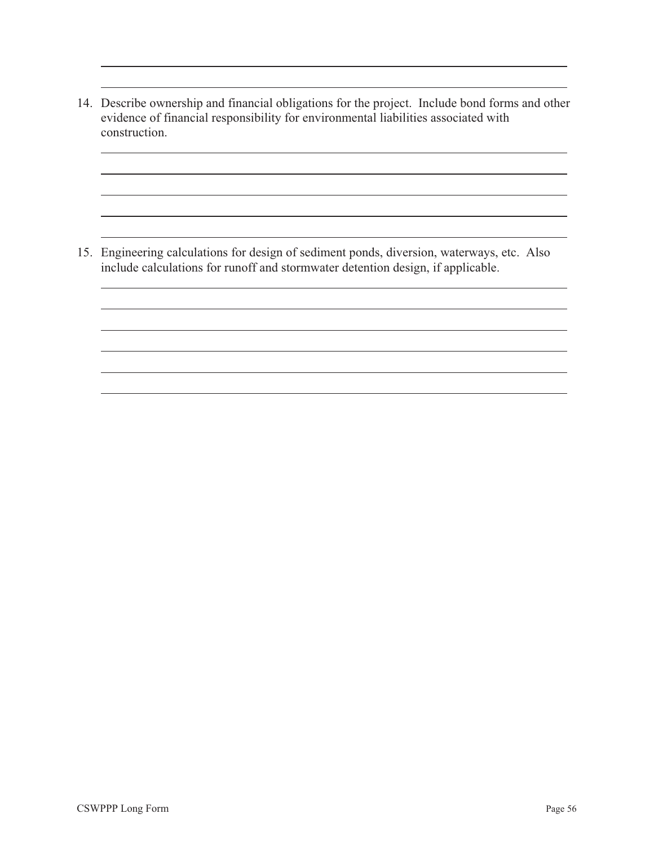14. Describe ownership and financial obligations for the project. Include bond forms and other evidence of financial responsibility for environmental liabilities associated with construction.

15. Engineering calculations for design of sediment ponds, diversion, waterways, etc. Also include calculations for runoff and stormwater detention design, if applicable.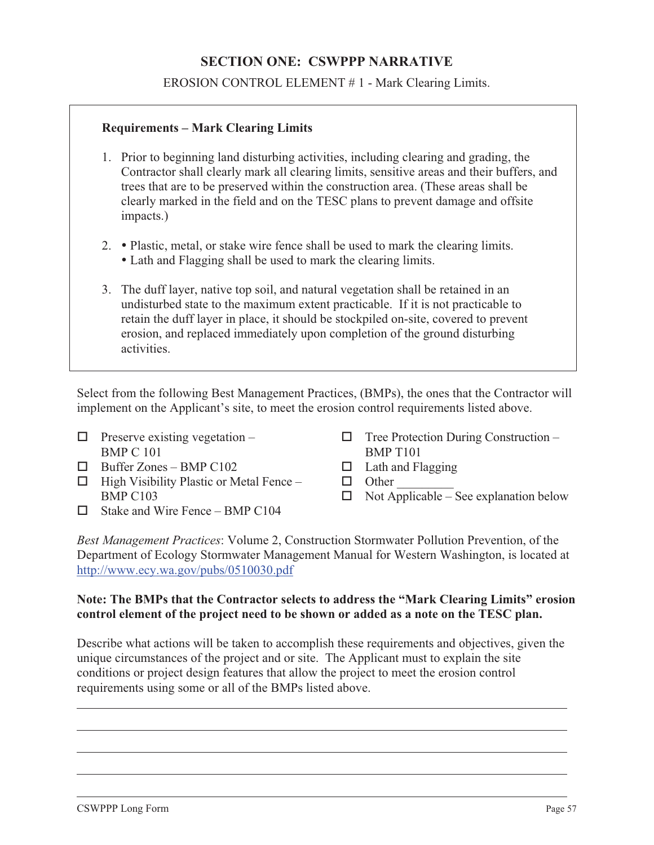# **SECTION ONE: CSWPPP NARRATIVE**

EROSION CONTROL ELEMENT # 1 - Mark Clearing Limits.

#### **Requirements – Mark Clearing Limits**

- 1. Prior to beginning land disturbing activities, including clearing and grading, the Contractor shall clearly mark all clearing limits, sensitive areas and their buffers, and trees that are to be preserved within the construction area. (These areas shall be clearly marked in the field and on the TESC plans to prevent damage and offsite impacts.)
- 2. Plastic, metal, or stake wire fence shall be used to mark the clearing limits.
	- Lath and Flagging shall be used to mark the clearing limits.
- 3. The duff layer, native top soil, and natural vegetation shall be retained in an undisturbed state to the maximum extent practicable. If it is not practicable to retain the duff layer in place, it should be stockpiled on-site, covered to prevent erosion, and replaced immediately upon completion of the ground disturbing activities.

Select from the following Best Management Practices, (BMPs), the ones that the Contractor will implement on the Applicant's site, to meet the erosion control requirements listed above.

- $\Box$  Preserve existing vegetation BMP C 101
- $\Box$  Buffer Zones BMP C102
- $\Box$  High Visibility Plastic or Metal Fence BMP C103
- $\Box$  Stake and Wire Fence BMP C104
- $\Box$  Tree Protection During Construction BMP T101
- $\Box$  Lath and Flagging
- $\Box$  Other
- $\Box$  Not Applicable See explanation below

*Best Management Practices*: Volume 2, Construction Stormwater Pollution Prevention, of the Department of Ecology Stormwater Management Manual for Western Washington, is located at http://www.ecy.wa.gov/pubs/0510030.pdf

#### **Note: The BMPs that the Contractor selects to address the "Mark Clearing Limits" erosion control element of the project need to be shown or added as a note on the TESC plan.**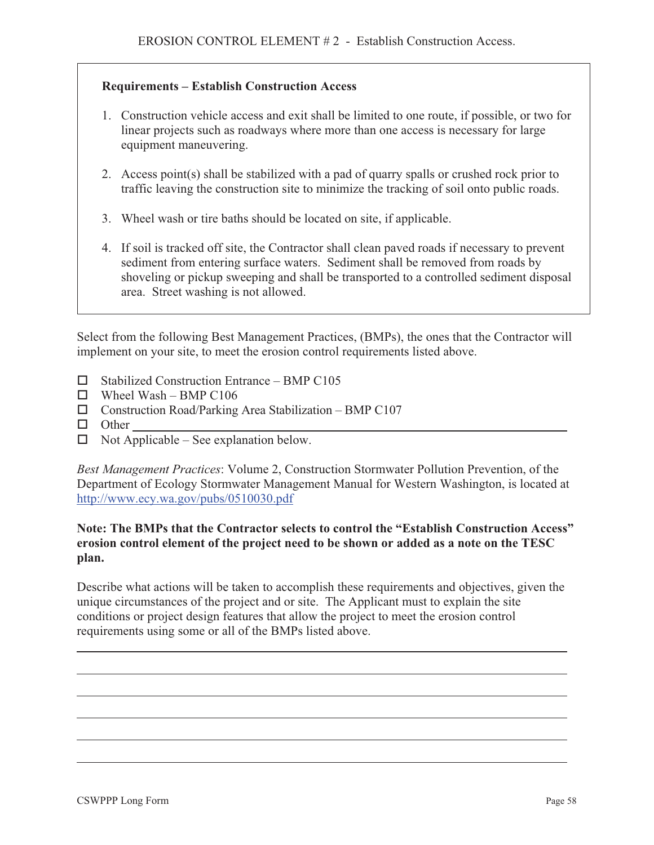#### **Requirements – Establish Construction Access**

- 1. Construction vehicle access and exit shall be limited to one route, if possible, or two for linear projects such as roadways where more than one access is necessary for large equipment maneuvering.
- 2. Access point(s) shall be stabilized with a pad of quarry spalls or crushed rock prior to traffic leaving the construction site to minimize the tracking of soil onto public roads.
- 3. Wheel wash or tire baths should be located on site, if applicable.
- 4. If soil is tracked off site, the Contractor shall clean paved roads if necessary to prevent sediment from entering surface waters. Sediment shall be removed from roads by shoveling or pickup sweeping and shall be transported to a controlled sediment disposal area. Street washing is not allowed.

Select from the following Best Management Practices, (BMPs), the ones that the Contractor will implement on your site, to meet the erosion control requirements listed above.

- $\Box$  Stabilized Construction Entrance BMP C105
- $\Box$  Wheel Wash BMP C106
- $\Box$  Construction Road/Parking Area Stabilization BMP C107
- **D** Other
- $\Box$  Not Applicable See explanation below.

*Best Management Practices*: Volume 2, Construction Stormwater Pollution Prevention, of the Department of Ecology Stormwater Management Manual for Western Washington, is located at http://www.ecy.wa.gov/pubs/0510030.pdf

#### **Note: The BMPs that the Contractor selects to control the "Establish Construction Access" erosion control element of the project need to be shown or added as a note on the TESC plan.**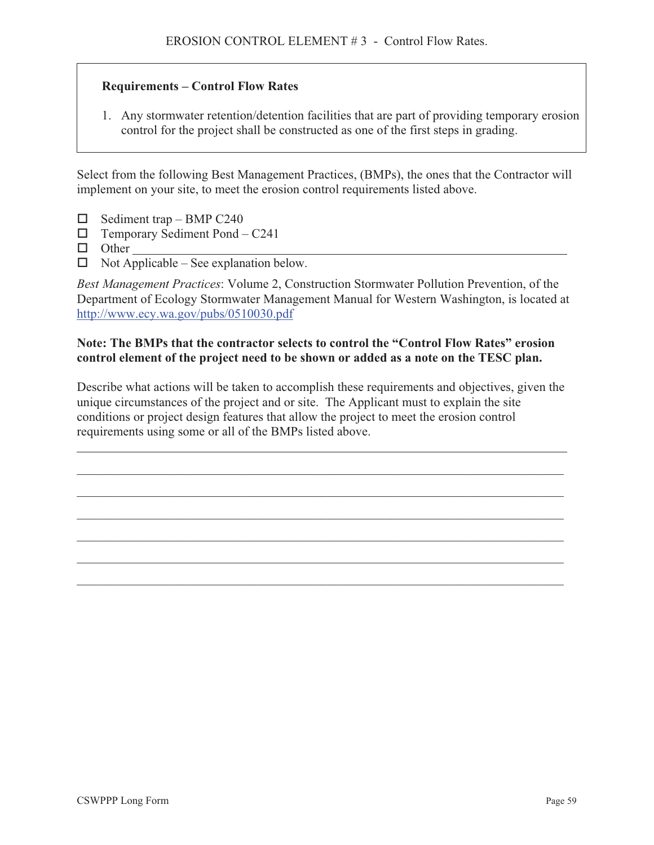#### **Requirements – Control Flow Rates**

1. Any stormwater retention/detention facilities that are part of providing temporary erosion control for the project shall be constructed as one of the first steps in grading.

Select from the following Best Management Practices, (BMPs), the ones that the Contractor will implement on your site, to meet the erosion control requirements listed above.

- $\Box$  Sediment trap BMP C240
- $\Box$  Temporary Sediment Pond C241
- **D** Other
- $\Box$  Not Applicable See explanation below.

*Best Management Practices*: Volume 2, Construction Stormwater Pollution Prevention, of the Department of Ecology Stormwater Management Manual for Western Washington, is located at http://www.ecy.wa.gov/pubs/0510030.pdf

#### **Note: The BMPs that the contractor selects to control the "Control Flow Rates" erosion control element of the project need to be shown or added as a note on the TESC plan.**

Describe what actions will be taken to accomplish these requirements and objectives, given the unique circumstances of the project and or site. The Applicant must to explain the site conditions or project design features that allow the project to meet the erosion control requirements using some or all of the BMPs listed above.

\_\_\_\_\_\_\_\_\_\_\_\_\_\_\_\_\_\_\_\_\_\_\_\_\_\_\_\_\_\_\_\_\_\_\_\_\_\_\_\_\_\_\_\_\_\_\_\_\_\_\_\_\_\_\_\_\_\_\_\_\_\_\_\_\_\_\_\_\_\_\_\_\_\_\_\_

\_\_\_\_\_\_\_\_\_\_\_\_\_\_\_\_\_\_\_\_\_\_\_\_\_\_\_\_\_\_\_\_\_\_\_\_\_\_\_\_\_\_\_\_\_\_\_\_\_\_\_\_\_\_\_\_\_\_\_\_\_\_\_\_\_\_\_\_\_\_\_\_\_\_\_\_

\_\_\_\_\_\_\_\_\_\_\_\_\_\_\_\_\_\_\_\_\_\_\_\_\_\_\_\_\_\_\_\_\_\_\_\_\_\_\_\_\_\_\_\_\_\_\_\_\_\_\_\_\_\_\_\_\_\_\_\_\_\_\_\_\_\_\_\_\_\_\_\_\_\_\_\_

\_\_\_\_\_\_\_\_\_\_\_\_\_\_\_\_\_\_\_\_\_\_\_\_\_\_\_\_\_\_\_\_\_\_\_\_\_\_\_\_\_\_\_\_\_\_\_\_\_\_\_\_\_\_\_\_\_\_\_\_\_\_\_\_\_\_\_\_\_\_\_\_\_\_\_\_

\_\_\_\_\_\_\_\_\_\_\_\_\_\_\_\_\_\_\_\_\_\_\_\_\_\_\_\_\_\_\_\_\_\_\_\_\_\_\_\_\_\_\_\_\_\_\_\_\_\_\_\_\_\_\_\_\_\_\_\_\_\_\_\_\_\_\_\_\_\_\_\_\_\_\_\_

\_\_\_\_\_\_\_\_\_\_\_\_\_\_\_\_\_\_\_\_\_\_\_\_\_\_\_\_\_\_\_\_\_\_\_\_\_\_\_\_\_\_\_\_\_\_\_\_\_\_\_\_\_\_\_\_\_\_\_\_\_\_\_\_\_\_\_\_\_\_\_\_\_\_\_\_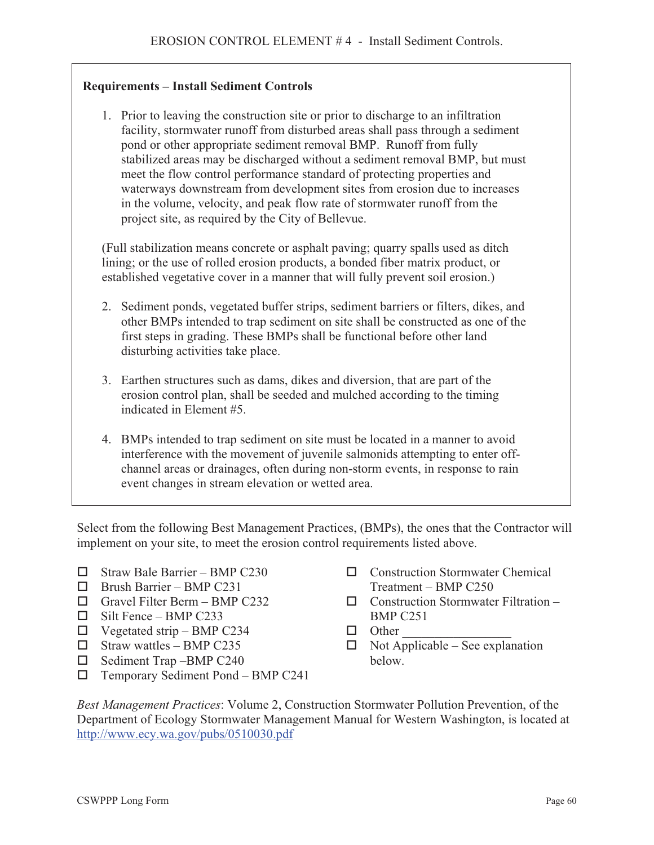### **Requirements – Install Sediment Controls**

1. Prior to leaving the construction site or prior to discharge to an infiltration facility, stormwater runoff from disturbed areas shall pass through a sediment pond or other appropriate sediment removal BMP. Runoff from fully stabilized areas may be discharged without a sediment removal BMP, but must meet the flow control performance standard of protecting properties and waterways downstream from development sites from erosion due to increases in the volume, velocity, and peak flow rate of stormwater runoff from the project site, as required by the City of Bellevue.

(Full stabilization means concrete or asphalt paving; quarry spalls used as ditch lining; or the use of rolled erosion products, a bonded fiber matrix product, or established vegetative cover in a manner that will fully prevent soil erosion.)

- 2. Sediment ponds, vegetated buffer strips, sediment barriers or filters, dikes, and other BMPs intended to trap sediment on site shall be constructed as one of the first steps in grading. These BMPs shall be functional before other land disturbing activities take place.
- 3. Earthen structures such as dams, dikes and diversion, that are part of the erosion control plan, shall be seeded and mulched according to the timing indicated in Element #5.
- 4. BMPs intended to trap sediment on site must be located in a manner to avoid interference with the movement of juvenile salmonids attempting to enter offchannel areas or drainages, often during non-storm events, in response to rain event changes in stream elevation or wetted area.

Select from the following Best Management Practices, (BMPs), the ones that the Contractor will implement on your site, to meet the erosion control requirements listed above.

- $\Box$  Straw Bale Barrier BMP C230
- $\Box$  Brush Barrier BMP C231
- $\Box$  Gravel Filter Berm BMP C232
- $\Box$  Silt Fence BMP C233
- $\Box$  Vegetated strip BMP C234
- $\Box$  Straw wattles BMP C235
- $\Box$  Sediment Trap –BMP C240
- $\Box$  Temporary Sediment Pond BMP C241
- □ Construction Stormwater Chemical Treatment – BMP C250
- $\Box$  Construction Stormwater Filtration BMP C251
- $\Box$  Other
- $\Box$  Not Applicable See explanation below.

*Best Management Practices*: Volume 2, Construction Stormwater Pollution Prevention, of the Department of Ecology Stormwater Management Manual for Western Washington, is located at http://www.ecy.wa.gov/pubs/0510030.pdf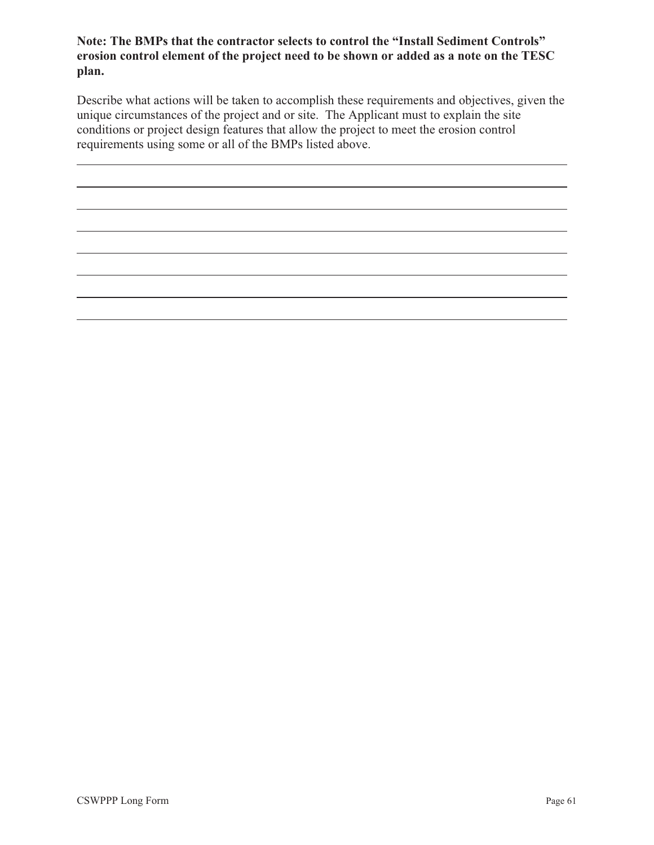#### **Note: The BMPs that the contractor selects to control the "Install Sediment Controls" erosion control element of the project need to be shown or added as a note on the TESC plan.**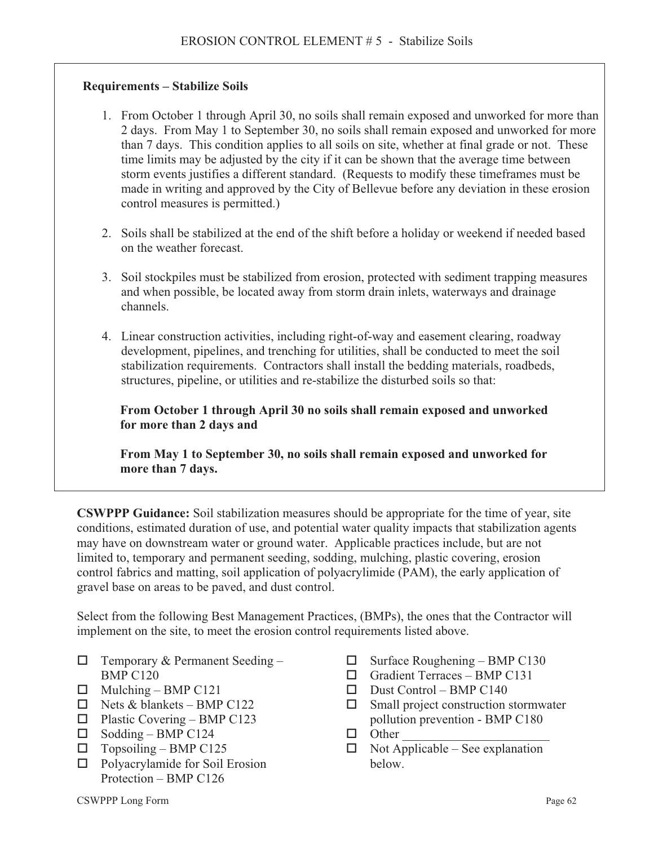#### **Requirements – Stabilize Soils**

- 1. From October 1 through April 30, no soils shall remain exposed and unworked for more than 2 days. From May 1 to September 30, no soils shall remain exposed and unworked for more than 7 days. This condition applies to all soils on site, whether at final grade or not. These time limits may be adjusted by the city if it can be shown that the average time between storm events justifies a different standard. (Requests to modify these timeframes must be made in writing and approved by the City of Bellevue before any deviation in these erosion control measures is permitted.)
- 2. Soils shall be stabilized at the end of the shift before a holiday or weekend if needed based on the weather forecast.
- 3. Soil stockpiles must be stabilized from erosion, protected with sediment trapping measures and when possible, be located away from storm drain inlets, waterways and drainage channels.
- 4. Linear construction activities, including right-of-way and easement clearing, roadway development, pipelines, and trenching for utilities, shall be conducted to meet the soil stabilization requirements. Contractors shall install the bedding materials, roadbeds, structures, pipeline, or utilities and re-stabilize the disturbed soils so that:

**From October 1 through April 30 no soils shall remain exposed and unworked for more than 2 days and** 

**From May 1 to September 30, no soils shall remain exposed and unworked for more than 7 days.** 

**CSWPPP Guidance:** Soil stabilization measures should be appropriate for the time of year, site conditions, estimated duration of use, and potential water quality impacts that stabilization agents may have on downstream water or ground water. Applicable practices include, but are not limited to, temporary and permanent seeding, sodding, mulching, plastic covering, erosion control fabrics and matting, soil application of polyacrylimide (PAM), the early application of gravel base on areas to be paved, and dust control.

Select from the following Best Management Practices, (BMPs), the ones that the Contractor will implement on the site, to meet the erosion control requirements listed above.

- $\Box$  Temporary & Permanent Seeding BMP C120
- $\Box$  Mulching BMP C121
- $\Box$  Nets & blankets BMP C122
- $\Box$  Plastic Covering BMP C123
- $\Box$  Sodding BMP C124
- $\Box$  Topsoiling BMP C125
- $\Box$  Polyacrylamide for Soil Erosion Protection – BMP C126
- $\Box$  Surface Roughening BMP C130
- $\Box$  Gradient Terraces BMP C131
- $\Box$  Dust Control BMP C140
- $\Box$  Small project construction stormwater pollution prevention - BMP C180
- $\Box$  Other
- $\Box$  Not Applicable See explanation below.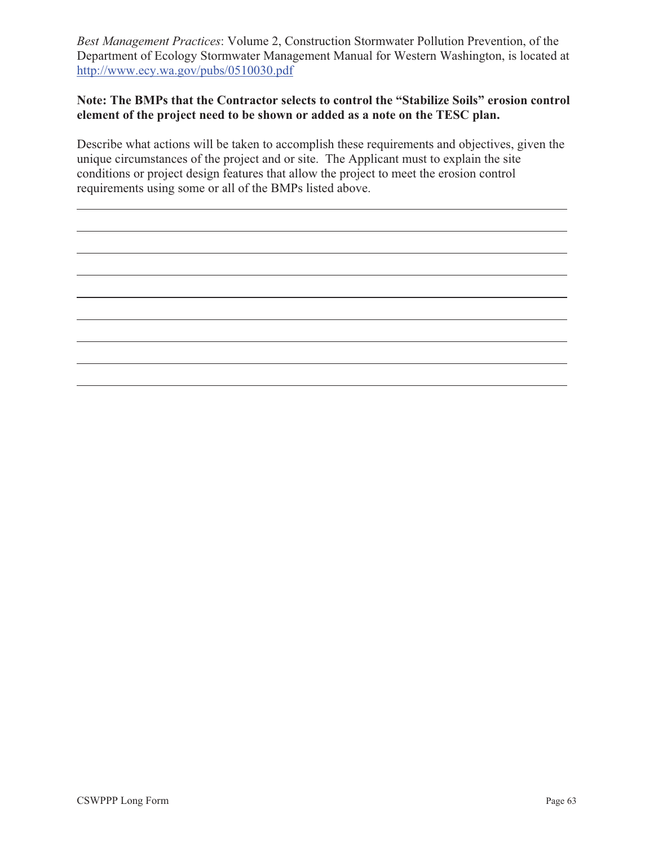*Best Management Practices*: Volume 2, Construction Stormwater Pollution Prevention, of the Department of Ecology Stormwater Management Manual for Western Washington, is located at http://www.ecy.wa.gov/pubs/0510030.pdf

#### **Note: The BMPs that the Contractor selects to control the "Stabilize Soils" erosion control element of the project need to be shown or added as a note on the TESC plan.**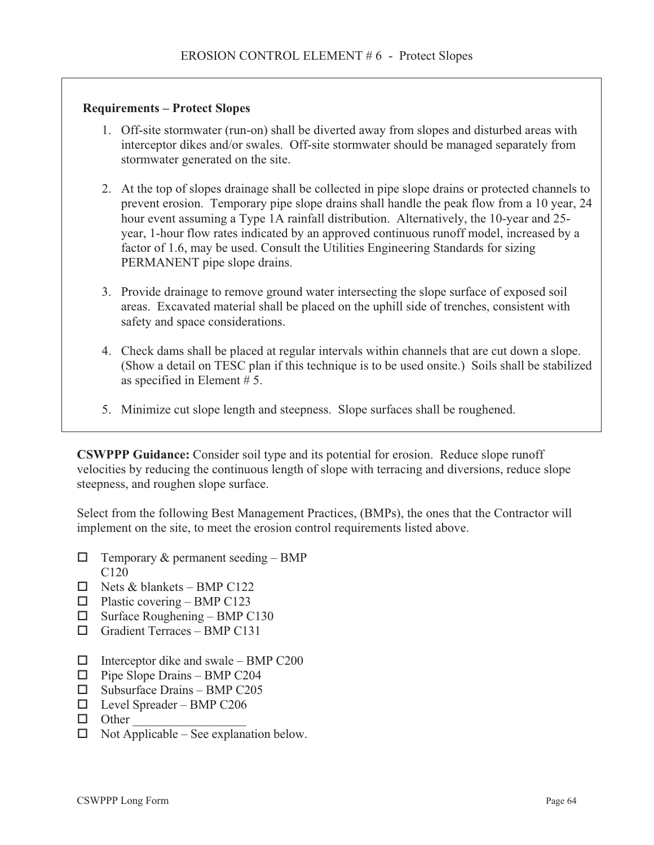#### **Requirements – Protect Slopes**

- 1. Off-site stormwater (run-on) shall be diverted away from slopes and disturbed areas with interceptor dikes and/or swales. Off-site stormwater should be managed separately from stormwater generated on the site.
- 2. At the top of slopes drainage shall be collected in pipe slope drains or protected channels to prevent erosion. Temporary pipe slope drains shall handle the peak flow from a 10 year, 24 hour event assuming a Type 1A rainfall distribution. Alternatively, the 10-year and 25 year, 1-hour flow rates indicated by an approved continuous runoff model, increased by a factor of 1.6, may be used. Consult the Utilities Engineering Standards for sizing PERMANENT pipe slope drains.
- 3. Provide drainage to remove ground water intersecting the slope surface of exposed soil areas. Excavated material shall be placed on the uphill side of trenches, consistent with safety and space considerations.
- 4. Check dams shall be placed at regular intervals within channels that are cut down a slope. (Show a detail on TESC plan if this technique is to be used onsite.) Soils shall be stabilized as specified in Element # 5.
- 5. Minimize cut slope length and steepness. Slope surfaces shall be roughened.

**CSWPPP Guidance:** Consider soil type and its potential for erosion. Reduce slope runoff velocities by reducing the continuous length of slope with terracing and diversions, reduce slope steepness, and roughen slope surface.

Select from the following Best Management Practices, (BMPs), the ones that the Contractor will implement on the site, to meet the erosion control requirements listed above.

- $\Box$  Temporary & permanent seeding BMP  $C120$
- $\Box$  Nets & blankets BMP C122
- $\Box$  Plastic covering BMP C123
- $\Box$  Surface Roughening BMP C130
- $\Box$  Gradient Terraces BMP C131
- $\Box$  Interceptor dike and swale BMP C200
- $\Box$  Pipe Slope Drains BMP C204
- $\square$  Subsurface Drains BMP C205
- Level Spreader BMP C206
- $\Box$  Other
- $\Box$  Not Applicable See explanation below.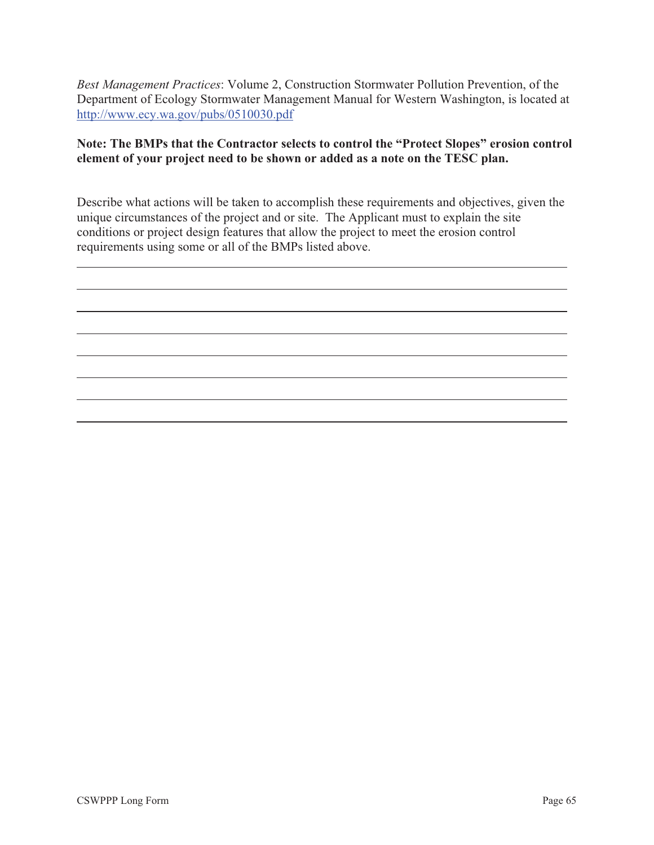*Best Management Practices*: Volume 2, Construction Stormwater Pollution Prevention, of the Department of Ecology Stormwater Management Manual for Western Washington, is located at http://www.ecy.wa.gov/pubs/0510030.pdf

#### **Note: The BMPs that the Contractor selects to control the "Protect Slopes" erosion control element of your project need to be shown or added as a note on the TESC plan.**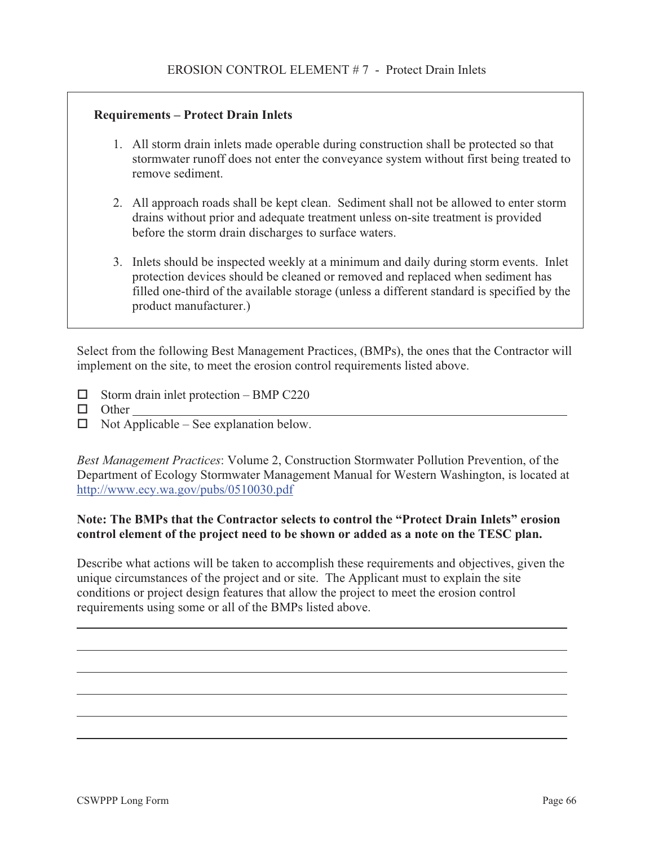#### **Requirements – Protect Drain Inlets**

- 1. All storm drain inlets made operable during construction shall be protected so that stormwater runoff does not enter the conveyance system without first being treated to remove sediment.
- 2. All approach roads shall be kept clean. Sediment shall not be allowed to enter storm drains without prior and adequate treatment unless on-site treatment is provided before the storm drain discharges to surface waters.
- 3. Inlets should be inspected weekly at a minimum and daily during storm events. Inlet protection devices should be cleaned or removed and replaced when sediment has filled one-third of the available storage (unless a different standard is specified by the product manufacturer.)

Select from the following Best Management Practices, (BMPs), the ones that the Contractor will implement on the site, to meet the erosion control requirements listed above.

- $\Box$  Storm drain inlet protection BMP C220
- **D** Other
- $\Box$  Not Applicable See explanation below.

*Best Management Practices*: Volume 2, Construction Stormwater Pollution Prevention, of the Department of Ecology Stormwater Management Manual for Western Washington, is located at http://www.ecy.wa.gov/pubs/0510030.pdf

#### **Note: The BMPs that the Contractor selects to control the "Protect Drain Inlets" erosion control element of the project need to be shown or added as a note on the TESC plan.**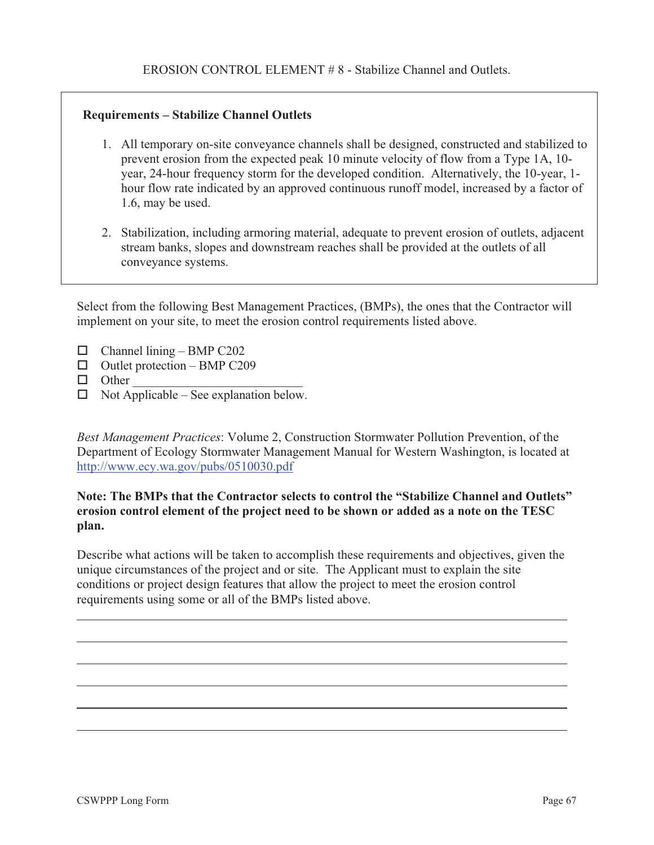### **Requirements – Stabilize Channel Outlets**

- 1. All temporary on-site conveyance channels shall be designed, constructed and stabilized to prevent erosion from the expected peak 10 minute velocity of flow from a Type 1A, 10 year, 24-hour frequency storm for the developed condition. Alternatively, the 10-year, 1 hour flow rate indicated by an approved continuous runoff model, increased by a factor of 1.6, may be used.
- 2. Stabilization, including armoring material, adequate to prevent erosion of outlets, adjacent stream banks, slopes and downstream reaches shall be provided at the outlets of all conveyance systems.

Select from the following Best Management Practices, (BMPs), the ones that the Contractor will implement on your site, to meet the erosion control requirements listed above.

- $\Box$  Channel lining BMP C202
- $\Box$  Outlet protection BMP C209
- $\Box$  Other
- $\Box$  Not Applicable See explanation below.

*Best Management Practices*: Volume 2, Construction Stormwater Pollution Prevention, of the Department of Ecology Stormwater Management Manual for Western Washington, is located at http://www.ecy.wa.gov/pubs/0510030.pdf

#### **Note: The BMPs that the Contractor selects to control the "Stabilize Channel and Outlets" erosion control element of the project need to be shown or added as a note on the TESC plan.**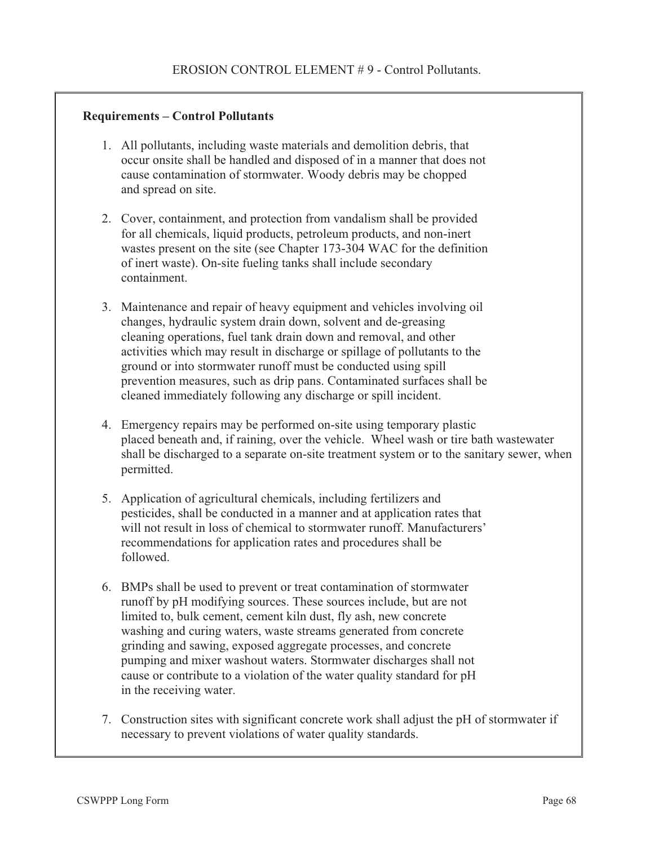#### **Requirements – Control Pollutants**

- 1. All pollutants, including waste materials and demolition debris, that occur onsite shall be handled and disposed of in a manner that does not cause contamination of stormwater. Woody debris may be chopped and spread on site.
- 2. Cover, containment, and protection from vandalism shall be provided for all chemicals, liquid products, petroleum products, and non-inert wastes present on the site (see Chapter 173-304 WAC for the definition of inert waste). On-site fueling tanks shall include secondary containment.
- 3. Maintenance and repair of heavy equipment and vehicles involving oil changes, hydraulic system drain down, solvent and de-greasing cleaning operations, fuel tank drain down and removal, and other activities which may result in discharge or spillage of pollutants to the ground or into stormwater runoff must be conducted using spill prevention measures, such as drip pans. Contaminated surfaces shall be cleaned immediately following any discharge or spill incident.
- 4. Emergency repairs may be performed on-site using temporary plastic placed beneath and, if raining, over the vehicle. Wheel wash or tire bath wastewater shall be discharged to a separate on-site treatment system or to the sanitary sewer, when permitted.
- 5. Application of agricultural chemicals, including fertilizers and pesticides, shall be conducted in a manner and at application rates that will not result in loss of chemical to stormwater runoff. Manufacturers' recommendations for application rates and procedures shall be followed.
- 6. BMPs shall be used to prevent or treat contamination of stormwater runoff by pH modifying sources. These sources include, but are not limited to, bulk cement, cement kiln dust, fly ash, new concrete washing and curing waters, waste streams generated from concrete grinding and sawing, exposed aggregate processes, and concrete pumping and mixer washout waters. Stormwater discharges shall not cause or contribute to a violation of the water quality standard for pH in the receiving water.
- 7. Construction sites with significant concrete work shall adjust the pH of stormwater if necessary to prevent violations of water quality standards.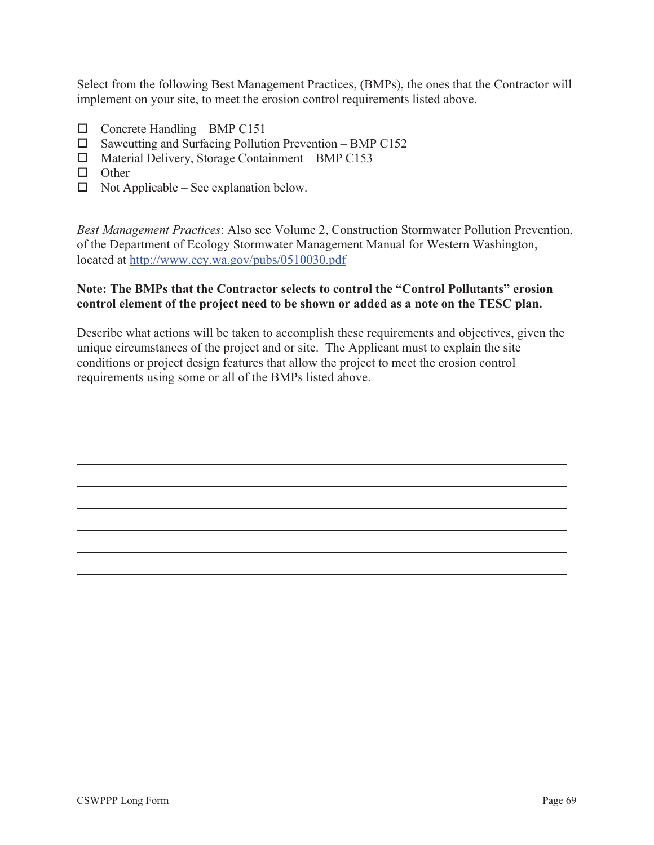Select from the following Best Management Practices, (BMPs), the ones that the Contractor will implement on your site, to meet the erosion control requirements listed above.

- $\Box$  Concrete Handling BMP C151
- $\Box$  Sawcutting and Surfacing Pollution Prevention BMP C152
- $\Box$  Material Delivery, Storage Containment BMP C153
- □ Other
- $\Box$  Not Applicable See explanation below.

*Best Management Practices*: Also see Volume 2, Construction Stormwater Pollution Prevention, of the Department of Ecology Stormwater Management Manual for Western Washington, located at http://www.ecy.wa.gov/pubs/0510030.pdf

#### **Note: The BMPs that the Contractor selects to control the "Control Pollutants" erosion control element of the project need to be shown or added as a note on the TESC plan.**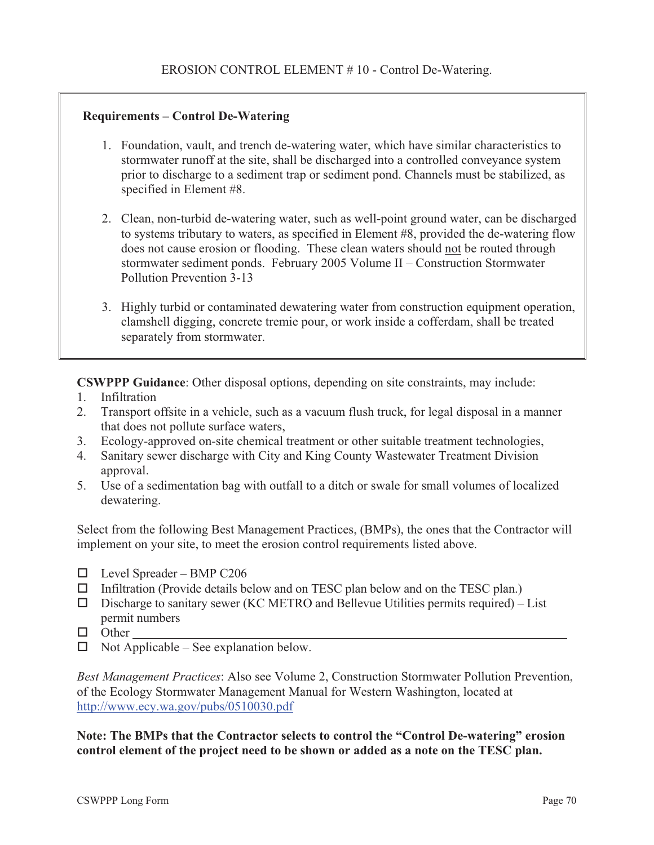### **Requirements – Control De-Watering**

- 1. Foundation, vault, and trench de-watering water, which have similar characteristics to stormwater runoff at the site, shall be discharged into a controlled conveyance system prior to discharge to a sediment trap or sediment pond. Channels must be stabilized, as specified in Element #8.
- 2. Clean, non-turbid de-watering water, such as well-point ground water, can be discharged to systems tributary to waters, as specified in Element #8, provided the de-watering flow does not cause erosion or flooding. These clean waters should not be routed through stormwater sediment ponds. February 2005 Volume II – Construction Stormwater Pollution Prevention 3-13
- 3. Highly turbid or contaminated dewatering water from construction equipment operation, clamshell digging, concrete tremie pour, or work inside a cofferdam, shall be treated separately from stormwater.

**CSWPPP Guidance**: Other disposal options, depending on site constraints, may include:

- 1. Infiltration
- 2. Transport offsite in a vehicle, such as a vacuum flush truck, for legal disposal in a manner that does not pollute surface waters,
- 3. Ecology-approved on-site chemical treatment or other suitable treatment technologies,
- 4. Sanitary sewer discharge with City and King County Wastewater Treatment Division approval.
- 5. Use of a sedimentation bag with outfall to a ditch or swale for small volumes of localized dewatering.

Select from the following Best Management Practices, (BMPs), the ones that the Contractor will implement on your site, to meet the erosion control requirements listed above.

- $\Box$  Level Spreader BMP C206
- $\Box$  Infiltration (Provide details below and on TESC plan below and on the TESC plan.)
- $\square$  Discharge to sanitary sewer (KC METRO and Bellevue Utilities permits required) List permit numbers
- $\Box$  Other
- $\Box$  Not Applicable See explanation below.

*Best Management Practices*: Also see Volume 2, Construction Stormwater Pollution Prevention, of the Ecology Stormwater Management Manual for Western Washington, located at http://www.ecy.wa.gov/pubs/0510030.pdf

**Note: The BMPs that the Contractor selects to control the "Control De-watering" erosion control element of the project need to be shown or added as a note on the TESC plan.**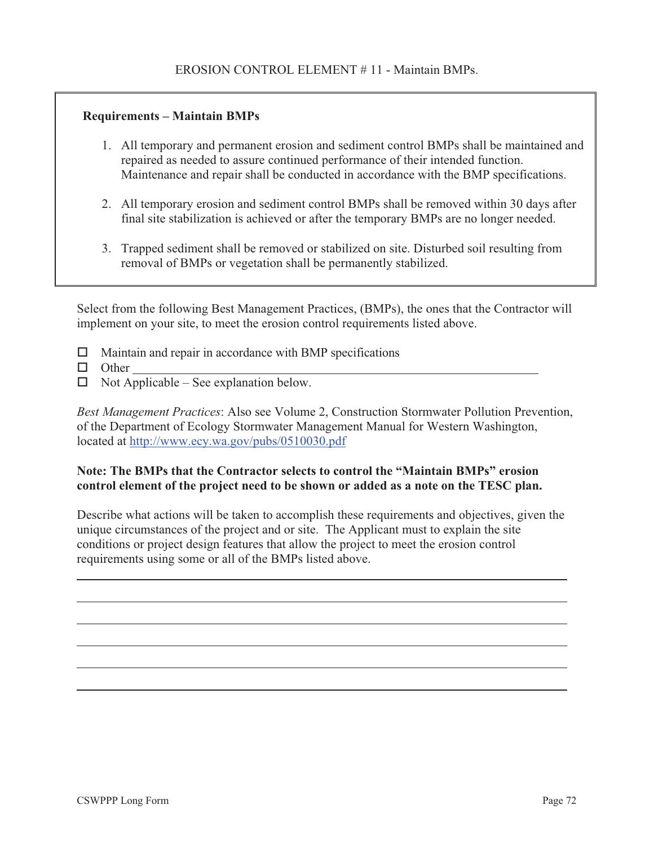#### **Requirements – Maintain BMPs**

- 1. All temporary and permanent erosion and sediment control BMPs shall be maintained and repaired as needed to assure continued performance of their intended function. Maintenance and repair shall be conducted in accordance with the BMP specifications.
- 2. All temporary erosion and sediment control BMPs shall be removed within 30 days after final site stabilization is achieved or after the temporary BMPs are no longer needed.
- 3. Trapped sediment shall be removed or stabilized on site. Disturbed soil resulting from removal of BMPs or vegetation shall be permanently stabilized.

Select from the following Best Management Practices, (BMPs), the ones that the Contractor will implement on your site, to meet the erosion control requirements listed above.

- $\Box$  Maintain and repair in accordance with BMP specifications
- D Other
- $\Box$  Not Applicable See explanation below.

*Best Management Practices*: Also see Volume 2, Construction Stormwater Pollution Prevention, of the Department of Ecology Stormwater Management Manual for Western Washington, located at http://www.ecy.wa.gov/pubs/0510030.pdf

#### **Note: The BMPs that the Contractor selects to control the "Maintain BMPs" erosion control element of the project need to be shown or added as a note on the TESC plan.**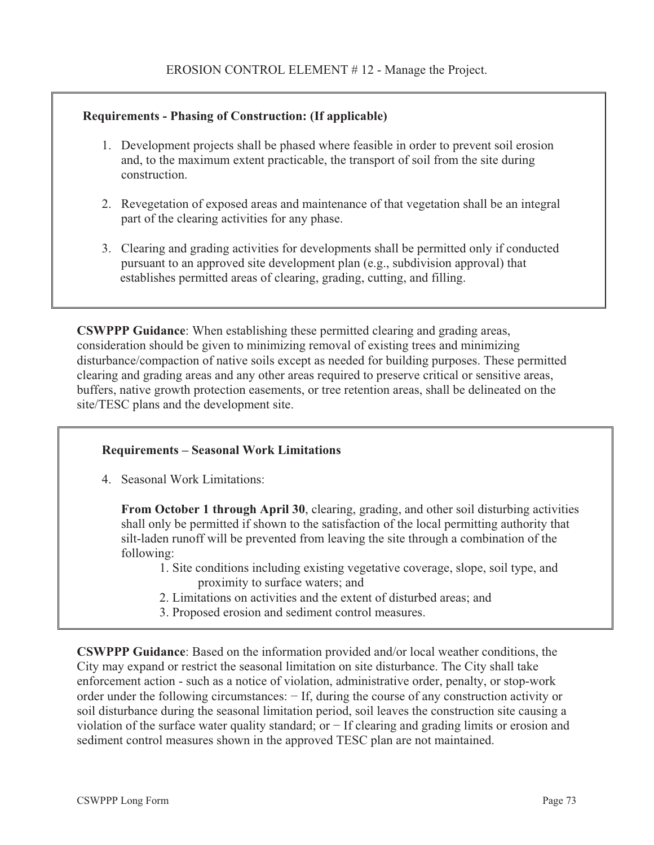#### **Requirements - Phasing of Construction: (If applicable)**

- 1. Development projects shall be phased where feasible in order to prevent soil erosion and, to the maximum extent practicable, the transport of soil from the site during construction.
- 2. Revegetation of exposed areas and maintenance of that vegetation shall be an integral part of the clearing activities for any phase.
- 3. Clearing and grading activities for developments shall be permitted only if conducted pursuant to an approved site development plan (e.g., subdivision approval) that establishes permitted areas of clearing, grading, cutting, and filling.

**CSWPPP Guidance**: When establishing these permitted clearing and grading areas, consideration should be given to minimizing removal of existing trees and minimizing disturbance/compaction of native soils except as needed for building purposes. These permitted clearing and grading areas and any other areas required to preserve critical or sensitive areas, buffers, native growth protection easements, or tree retention areas, shall be delineated on the site/TESC plans and the development site.

#### **Requirements – Seasonal Work Limitations**

4. Seasonal Work Limitations:

**From October 1 through April 30**, clearing, grading, and other soil disturbing activities shall only be permitted if shown to the satisfaction of the local permitting authority that silt-laden runoff will be prevented from leaving the site through a combination of the following:

- 1. Site conditions including existing vegetative coverage, slope, soil type, and proximity to surface waters; and
- 2. Limitations on activities and the extent of disturbed areas; and
- 3. Proposed erosion and sediment control measures.

**CSWPPP Guidance**: Based on the information provided and/or local weather conditions, the City may expand or restrict the seasonal limitation on site disturbance. The City shall take enforcement action - such as a notice of violation, administrative order, penalty, or stop-work order under the following circumstances:  $-$  If, during the course of any construction activity or soil disturbance during the seasonal limitation period, soil leaves the construction site causing a violation of the surface water quality standard; or  $-$  If clearing and grading limits or erosion and sediment control measures shown in the approved TESC plan are not maintained.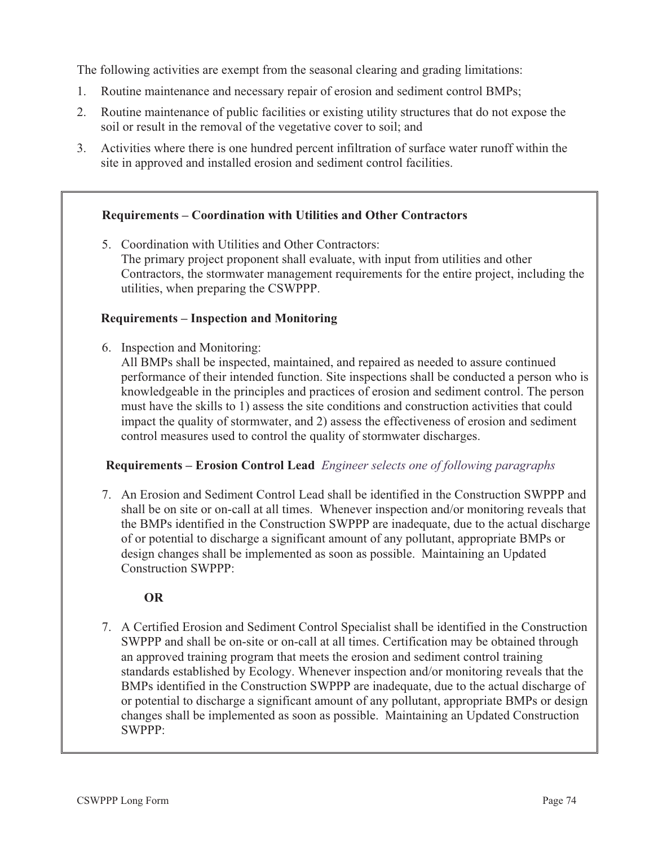The following activities are exempt from the seasonal clearing and grading limitations:

- 1. Routine maintenance and necessary repair of erosion and sediment control BMPs;
- 2. Routine maintenance of public facilities or existing utility structures that do not expose the soil or result in the removal of the vegetative cover to soil; and
- 3. Activities where there is one hundred percent infiltration of surface water runoff within the site in approved and installed erosion and sediment control facilities.

#### **Requirements – Coordination with Utilities and Other Contractors**

5. Coordination with Utilities and Other Contractors: The primary project proponent shall evaluate, with input from utilities and other Contractors, the stormwater management requirements for the entire project, including the utilities, when preparing the CSWPPP.

#### **Requirements – Inspection and Monitoring**

6. Inspection and Monitoring:

All BMPs shall be inspected, maintained, and repaired as needed to assure continued performance of their intended function. Site inspections shall be conducted a person who is knowledgeable in the principles and practices of erosion and sediment control. The person must have the skills to 1) assess the site conditions and construction activities that could impact the quality of stormwater, and 2) assess the effectiveness of erosion and sediment control measures used to control the quality of stormwater discharges.

#### **Requirements – Erosion Control Lead** *Engineer selects one of following paragraphs*

7. An Erosion and Sediment Control Lead shall be identified in the Construction SWPPP and shall be on site or on-call at all times. Whenever inspection and/or monitoring reveals that the BMPs identified in the Construction SWPPP are inadequate, due to the actual discharge of or potential to discharge a significant amount of any pollutant, appropriate BMPs or design changes shall be implemented as soon as possible. Maintaining an Updated Construction SWPPP:

#### **OR**

7. A Certified Erosion and Sediment Control Specialist shall be identified in the Construction SWPPP and shall be on-site or on-call at all times. Certification may be obtained through an approved training program that meets the erosion and sediment control training standards established by Ecology. Whenever inspection and/or monitoring reveals that the BMPs identified in the Construction SWPPP are inadequate, due to the actual discharge of or potential to discharge a significant amount of any pollutant, appropriate BMPs or design changes shall be implemented as soon as possible. Maintaining an Updated Construction SWPPP: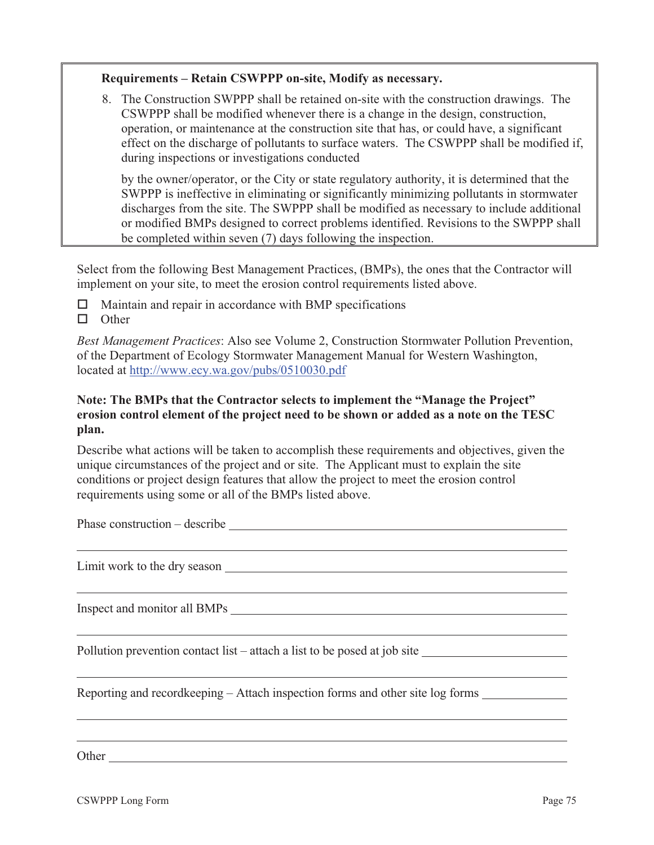#### **Requirements – Retain CSWPPP on-site, Modify as necessary.**

8. The Construction SWPPP shall be retained on-site with the construction drawings. The CSWPPP shall be modified whenever there is a change in the design, construction, operation, or maintenance at the construction site that has, or could have, a significant effect on the discharge of pollutants to surface waters. The CSWPPP shall be modified if, during inspections or investigations conducted

by the owner/operator, or the City or state regulatory authority, it is determined that the SWPPP is ineffective in eliminating or significantly minimizing pollutants in stormwater discharges from the site. The SWPPP shall be modified as necessary to include additional or modified BMPs designed to correct problems identified. Revisions to the SWPPP shall be completed within seven (7) days following the inspection.

Select from the following Best Management Practices, (BMPs), the ones that the Contractor will implement on your site, to meet the erosion control requirements listed above.

 $\Box$  Maintain and repair in accordance with BMP specifications

 $\Box$  Other

*Best Management Practices*: Also see Volume 2, Construction Stormwater Pollution Prevention, of the Department of Ecology Stormwater Management Manual for Western Washington, located at http://www.ecy.wa.gov/pubs/0510030.pdf

#### **Note: The BMPs that the Contractor selects to implement the "Manage the Project" erosion control element of the project need to be shown or added as a note on the TESC plan.**

Describe what actions will be taken to accomplish these requirements and objectives, given the unique circumstances of the project and or site. The Applicant must to explain the site conditions or project design features that allow the project to meet the erosion control requirements using some or all of the BMPs listed above.

Phase construction – describe  $\overline{\phantom{a}}$ 

Limit work to the dry season  $\Box$ 

Inspect and monitor all BMPs

Pollution prevention contact list – attach a list to be posed at job site

Reporting and recordkeeping – Attach inspection forms and other site log forms

Other **Other** 

 $\overline{a}$ 

 $\overline{a}$ 

 $\overline{a}$ 

 $\overline{a}$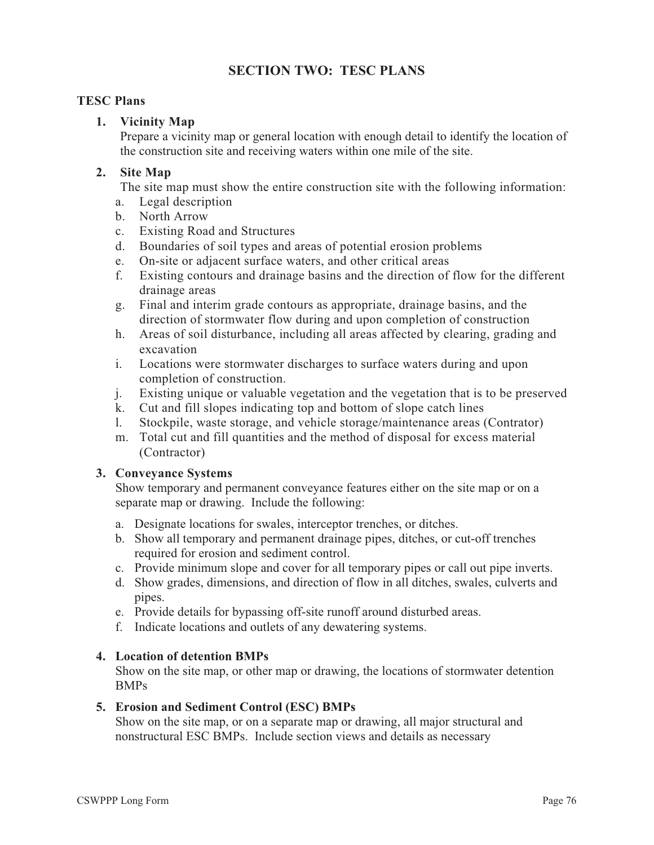# **SECTION TWO: TESC PLANS**

#### **TESC Plans**

#### **1. Vicinity Map**

Prepare a vicinity map or general location with enough detail to identify the location of the construction site and receiving waters within one mile of the site.

#### **2. Site Map**

The site map must show the entire construction site with the following information:

- a. Legal description
- b. North Arrow
- c. Existing Road and Structures
- d. Boundaries of soil types and areas of potential erosion problems
- e. On-site or adjacent surface waters, and other critical areas<br>f. Existing contours and drainage basins and the direction of
- Existing contours and drainage basins and the direction of flow for the different drainage areas
- g. Final and interim grade contours as appropriate, drainage basins, and the direction of stormwater flow during and upon completion of construction
- h. Areas of soil disturbance, including all areas affected by clearing, grading and excavation
- i. Locations were stormwater discharges to surface waters during and upon completion of construction.
- j. Existing unique or valuable vegetation and the vegetation that is to be preserved
- k. Cut and fill slopes indicating top and bottom of slope catch lines
- l. Stockpile, waste storage, and vehicle storage/maintenance areas (Contrator)
- m. Total cut and fill quantities and the method of disposal for excess material (Contractor)

#### **3. Conveyance Systems**

Show temporary and permanent conveyance features either on the site map or on a separate map or drawing. Include the following:

- a. Designate locations for swales, interceptor trenches, or ditches.
- b. Show all temporary and permanent drainage pipes, ditches, or cut-off trenches required for erosion and sediment control.
- c. Provide minimum slope and cover for all temporary pipes or call out pipe inverts.
- d. Show grades, dimensions, and direction of flow in all ditches, swales, culverts and pipes.
- e. Provide details for bypassing off-site runoff around disturbed areas.
- f. Indicate locations and outlets of any dewatering systems.

#### **4. Location of detention BMPs**

Show on the site map, or other map or drawing, the locations of stormwater detention BMPs

#### **5. Erosion and Sediment Control (ESC) BMPs**

Show on the site map, or on a separate map or drawing, all major structural and nonstructural ESC BMPs. Include section views and details as necessary